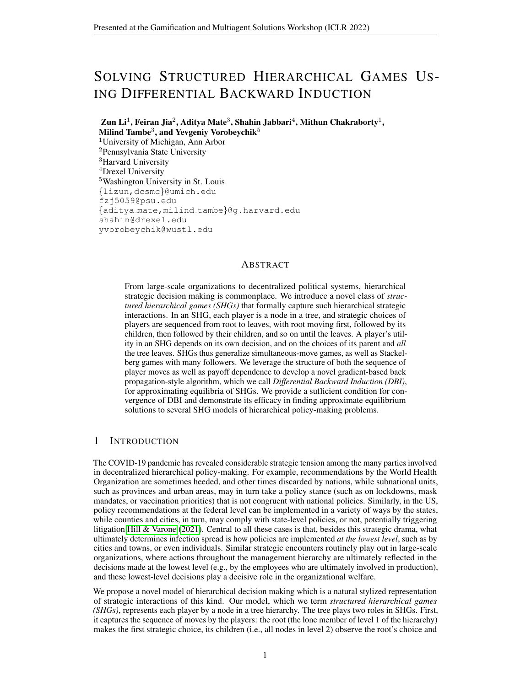# SOLVING STRUCTURED HIERARCHICAL GAMES US-ING DIFFERENTIAL BACKWARD INDUCTION

Zun Li $^1$ , Feiran Jia $^2$ , Aditya Mate $^3$ , Shahin Jabbari $^4$ , Mithun Chakraborty $^1,$ Milind Tambe $^3$ , and Yevgeniy Vorobeychik $^5$ <sup>1</sup>University of Michigan, Ann Arbor <sup>2</sup>Pennsylvania State University <sup>3</sup>Harvard University <sup>4</sup>Drexel University <sup>5</sup>Washington University in St. Louis {lizun,dcsmc}@umich.edu fzj5059@psu.edu {aditya mate,milind tambe}@g.harvard.edu shahin@drexel.edu

yvorobeychik@wustl.edu

## ABSTRACT

From large-scale organizations to decentralized political systems, hierarchical strategic decision making is commonplace. We introduce a novel class of *structured hierarchical games (SHGs)* that formally capture such hierarchical strategic interactions. In an SHG, each player is a node in a tree, and strategic choices of players are sequenced from root to leaves, with root moving first, followed by its children, then followed by their children, and so on until the leaves. A player's utility in an SHG depends on its own decision, and on the choices of its parent and *all* the tree leaves. SHGs thus generalize simultaneous-move games, as well as Stackelberg games with many followers. We leverage the structure of both the sequence of player moves as well as payoff dependence to develop a novel gradient-based back propagation-style algorithm, which we call *Differential Backward Induction (DBI)*, for approximating equilibria of SHGs. We provide a sufficient condition for convergence of DBI and demonstrate its efficacy in finding approximate equilibrium solutions to several SHG models of hierarchical policy-making problems.

## 1 INTRODUCTION

The COVID-19 pandemic has revealed considerable strategic tension among the many parties involved in decentralized hierarchical policy-making. For example, recommendations by the World Health Organization are sometimes heeded, and other times discarded by nations, while subnational units, such as provinces and urban areas, may in turn take a policy stance (such as on lockdowns, mask mandates, or vaccination priorities) that is not congruent with national policies. Similarly, in the US, policy recommendations at the federal level can be implemented in a variety of ways by the states, while counties and cities, in turn, may comply with state-level policies, or not, potentially triggering litigation [Hill & Varone](#page-9-0) [\(2021\)](#page-9-0). Central to all these cases is that, besides this strategic drama, what ultimately determines infection spread is how policies are implemented *at the lowest level*, such as by cities and towns, or even individuals. Similar strategic encounters routinely play out in large-scale organizations, where actions throughout the management hierarchy are ultimately reflected in the decisions made at the lowest level (e.g., by the employees who are ultimately involved in production), and these lowest-level decisions play a decisive role in the organizational welfare.

We propose a novel model of hierarchical decision making which is a natural stylized representation of strategic interactions of this kind. Our model, which we term *structured hierarchical games (SHGs)*, represents each player by a node in a tree hierarchy. The tree plays two roles in SHGs. First, it captures the sequence of moves by the players: the root (the lone member of level 1 of the hierarchy) makes the first strategic choice, its children (i.e., all nodes in level 2) observe the root's choice and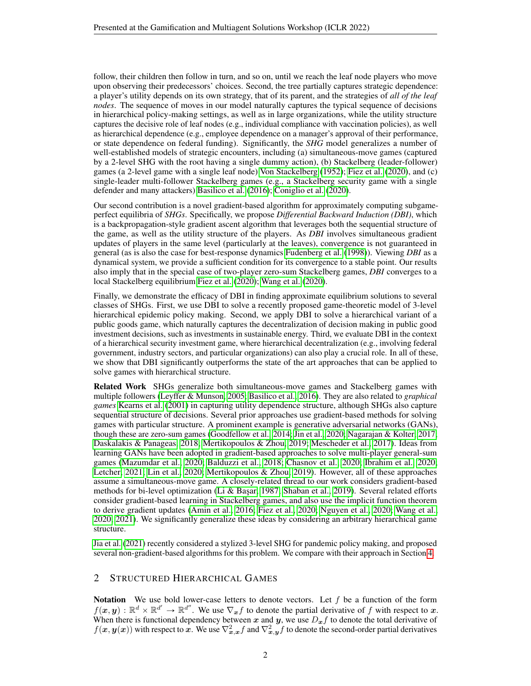follow, their children then follow in turn, and so on, until we reach the leaf node players who move upon observing their predecessors' choices. Second, the tree partially captures strategic dependence: a player's utility depends on its own strategy, that of its parent, and the strategies of *all of the leaf nodes*. The sequence of moves in our model naturally captures the typical sequence of decisions in hierarchical policy-making settings, as well as in large organizations, while the utility structure captures the decisive role of leaf nodes (e.g., individual compliance with vaccination policies), as well as hierarchical dependence (e.g., employee dependence on a manager's approval of their performance, or state dependence on federal funding). Significantly, the *SHG* model generalizes a number of well-established models of strategic encounters, including (a) simultaneous-move games (captured by a 2-level SHG with the root having a single dummy action), (b) Stackelberg (leader-follower) games (a 2-level game with a single leaf node) [Von Stackelberg](#page-10-0) [\(1952\)](#page-10-0); [Fiez et al.](#page-8-0) [\(2020\)](#page-8-0), and (c) single-leader multi-follower Stackelberg games (e.g., a Stackelberg security game with a single defender and many attackers) [Basilico et al.](#page-8-1) [\(2016\)](#page-8-1); [Coniglio et al.](#page-8-2) [\(2020\)](#page-8-2).

Our second contribution is a novel gradient-based algorithm for approximately computing subgameperfect equilibria of *SHGs*. Specifically, we propose *Differential Backward Induction (DBI)*, which is a backpropagation-style gradient ascent algorithm that leverages both the sequential structure of the game, as well as the utility structure of the players. As *DBI* involves simultaneous gradient updates of players in the same level (particularly at the leaves), convergence is not guaranteed in general (as is also the case for best-response dynamics [Fudenberg et al.](#page-9-1) [\(1998\)](#page-9-1)). Viewing *DBI* as a dynamical system, we provide a sufficient condition for its convergence to a stable point. Our results also imply that in the special case of two-player zero-sum Stackelberg games, *DBI* converges to a local Stackelberg equilibrium [Fiez et al.](#page-8-0) [\(2020\)](#page-8-0); [Wang et al.](#page-10-1) [\(2020\)](#page-10-1).

Finally, we demonstrate the efficacy of DBI in finding approximate equilibrium solutions to several classes of SHGs. First, we use DBI to solve a recently proposed game-theoretic model of 3-level hierarchical epidemic policy making. Second, we apply DBI to solve a hierarchical variant of a public goods game, which naturally captures the decentralization of decision making in public good investment decisions, such as investments in sustainable energy. Third, we evaluate DBI in the context of a hierarchical security investment game, where hierarchical decentralization (e.g., involving federal government, industry sectors, and particular organizations) can also play a crucial role. In all of these, we show that DBI significantly outperforms the state of the art approaches that can be applied to solve games with hierarchical structure.

Related Work SHGs generalize both simultaneous-move games and Stackelberg games with multiple followers [\(Leyffer & Munson, 2005;](#page-9-2) [Basilico et al., 2016\)](#page-8-1). They are also related to *graphical games* [Kearns et al.](#page-9-3) [\(2001\)](#page-9-3) in capturing utility dependence structure, although SHGs also capture sequential structure of decisions. Several prior approaches use gradient-based methods for solving games with particular structure. A prominent example is generative adversarial networks (GANs), though these are zero-sum games [\(Goodfellow et al., 2014;](#page-9-4) [Jin et al., 2020;](#page-9-5) [Nagarajan & Kolter, 2017;](#page-9-6) [Daskalakis & Panageas, 2018;](#page-8-3) [Mertikopoulos & Zhou, 2019;](#page-9-7) [Mescheder et al., 2017\)](#page-9-8). Ideas from learning GANs have been adopted in gradient-based approaches to solve multi-player general-sum games [\(Mazumdar et al., 2020;](#page-9-9) [Balduzzi et al., 2018;](#page-8-4) [Chasnov et al., 2020;](#page-8-5) [Ibrahim et al., 2020;](#page-9-10) [Letcher, 2021;](#page-9-11) [Lin et al., 2020;](#page-9-12) [Mertikopoulos & Zhou, 2019\)](#page-9-7). However, all of these approaches assume a simultaneous-move game. A closely-related thread to our work considers gradient-based methods for bi-level optimization (Li & Başar, 1987; [Shaban et al., 2019\)](#page-10-2). Several related efforts consider gradient-based learning in Stackelberg games, and also use the implicit function theorem to derive gradient updates [\(Amin et al., 2016;](#page-8-6) [Fiez et al., 2020;](#page-8-0) [Nguyen et al., 2020;](#page-9-14) [Wang et al.,](#page-10-1) [2020;](#page-10-1) [2021\)](#page-10-3). We significantly generalize these ideas by considering an arbitrary hierarchical game structure.

[Jia et al.](#page-9-15) [\(2021\)](#page-9-15) recently considered a stylized 3-level SHG for pandemic policy making, and proposed several non-gradient-based algorithms for this problem. We compare with their approach in Section [4.](#page-5-0)

# <span id="page-1-0"></span>2 STRUCTURED HIERARCHICAL GAMES

Notation We use bold lower-case letters to denote vectors. Let  $f$  be a function of the form  $f(\mathbf{x}, \mathbf{y}) : \mathbb{R}^d \times \mathbb{R}^{d'} \to \mathbb{R}^{d''}$ . We use  $\nabla_{\mathbf{x}} f$  to denote the partial derivative of f with respect to x. When there is functional dependency between x and y, we use  $D_x f$  to denote the total derivative of  $f(x, y(x))$  with respect to x. We use  $\nabla_{x,y}^2 f$  and  $\nabla_{x,y}^2 f$  to denote the second-order partial derivatives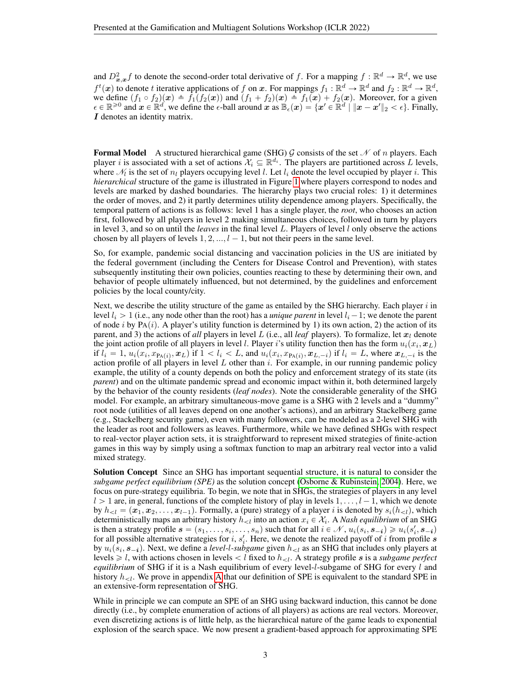and  $D^2_{x,x} f$  to denote the second-order total derivative of f. For a mapping  $f : \mathbb{R}^d \to \mathbb{R}^d$ , we use  $f^t(\boldsymbol{x})$  to denote t iterative applications of f on  $\boldsymbol{x}$ . For mappings  $f_1 : \mathbb{R}^d \to \mathbb{R}^d$  and  $f_2 : \mathbb{R}^d \to \mathbb{R}^d$ , we define  $(f_1 \circ f_2)(x) \triangleq f_1(f_2(x))$  and  $(f_1 + f_2)(x) \triangleq f_1(x) + f_2(x)$ . Moreover, for a given  $\epsilon \in \mathbb{R}^{\geq 0}$  and  $\mathbf{x} \in \mathbb{R}^d$ , we define the  $\epsilon$ -ball around  $\mathbf{x}$  as  $\mathbb{B}_{\epsilon}(\mathbf{x}) = {\mathbf{x}' \in \mathbb{R}^d \mid \|\mathbf{x} - \mathbf{x}'\|_2 < \epsilon}$ . Finally, I denotes an identity matrix.

**Formal Model** A structured hierarchical game (SHG) G consists of the set N of n players. Each player *i* is associated with a set of actions  $X_i \subseteq \mathbb{R}^{d_i}$ . The players are partitioned across L levels, where  $\mathcal{M}_i$  is the set of  $n_l$  players occupying level l. Let  $l_i$  denote the level occupied by player i. This *hierarchical* structure of the game is illustrated in Figure [1](#page-4-0) where players correspond to nodes and levels are marked by dashed boundaries. The hierarchy plays two crucial roles: 1) it determines the order of moves, and 2) it partly determines utility dependence among players. Specifically, the temporal pattern of actions is as follows: level 1 has a single player, the *root*, who chooses an action first, followed by all players in level 2 making simultaneous choices, followed in turn by players in level 3, and so on until the *leaves* in the final level  $L$ . Players of level  $l$  only observe the actions chosen by all players of levels  $1, 2, ..., l - 1$ , but not their peers in the same level.

So, for example, pandemic social distancing and vaccination policies in the US are initiated by the federal government (including the Centers for Disease Control and Prevention), with states subsequently instituting their own policies, counties reacting to these by determining their own, and behavior of people ultimately influenced, but not determined, by the guidelines and enforcement policies by the local county/city.

Next, we describe the utility structure of the game as entailed by the SHG hierarchy. Each player  $i$  in level  $l_i > 1$  (i.e., any node other than the root) has a *unique parent* in level  $l_i - 1$ ; we denote the parent of node i by PA(i). A player's utility function is determined by 1) its own action, 2) the action of its parent, and 3) the actions of *all* players in level L (i.e., all *leaf* players). To formalize, let  $x_l$  denote the joint action profile of all players in level l. Player i's utility function then has the form  $u_i(x_i, x_L)$ if  $l_i = 1, u_i(x_i, x_{PA(i)}, x_L)$  if  $1 < l_i < L$ , and  $u_i(x_i, x_{PA(i)}, x_{L,-i})$  if  $l_i = L$ , where  $x_{L,-i}$  is the action profile of all players in level  $L$  other than  $i$ . For example, in our running pandemic policy example, the utility of a county depends on both the policy and enforcement strategy of its state (its *parent*) and on the ultimate pandemic spread and economic impact within it, both determined largely by the behavior of the county residents (*leaf nodes*). Note the considerable generality of the SHG model. For example, an arbitrary simultaneous-move game is a SHG with 2 levels and a "dummy" root node (utilities of all leaves depend on one another's actions), and an arbitrary Stackelberg game (e.g., Stackelberg security game), even with many followers, can be modeled as a 2-level SHG with the leader as root and followers as leaves. Furthermore, while we have defined SHGs with respect to real-vector player action sets, it is straightforward to represent mixed strategies of finite-action games in this way by simply using a softmax function to map an arbitrary real vector into a valid mixed strategy.

Solution Concept Since an SHG has important sequential structure, it is natural to consider the *subgame perfect equilibrium (SPE)* as the solution concept [\(Osborne & Rubinstein, 2004\)](#page-9-16). Here, we focus on pure-strategy equilibria. To begin, we note that in SHGs, the strategies of players in any level  $l > 1$  are, in general, functions of the complete history of play in levels  $1, \ldots, l - 1$ , which we denote by  $h_{\leq l} = (\mathbf{x}_1, \mathbf{x}_2, \dots, \mathbf{x}_{l-1})$ . Formally, a (pure) strategy of a player i is denoted by  $s_i(h_{\leq l})$ , which deterministically maps an arbitrary history  $h_{< l}$  into an action  $x_i \in \mathcal{X}_i$ . A *Nash equilibrium* of an SHG is then a strategy profile  $s = (s_1, \ldots, s_i, \ldots, s_n)$  such that for all  $i \in \mathcal{N}$ ,  $u_i(s_i, s_{-i}) \geq u_i(s'_i, s_{-i})$ for all possible alternative strategies for  $i$ ,  $s'_{i}$ . Here, we denote the realized payoff of  $i$  from profile  $s$ by  $u_i(s_i, s_{-i})$ . Next, we define a *level-l-subgame* given  $h_{\le l}$  as an SHG that includes only players at levels  $\geq l$ , with actions chosen in levels  $\lt l$  fixed to  $h_{\lt l}$ . A strategy profile s is a *subgame perfect equilibrium* of SHG if it is a Nash equilibrium of every level-l-subgame of SHG for every l and history  $h_{\leq l}$ . We prove in appendix [A](#page-11-0) that our definition of SPE is equivalent to the standard SPE in an extensive-form representation of SHG.

While in principle we can compute an SPE of an SHG using backward induction, this cannot be done directly (i.e., by complete enumeration of actions of all players) as actions are real vectors. Moreover, even discretizing actions is of little help, as the hierarchical nature of the game leads to exponential explosion of the search space. We now present a gradient-based approach for approximating SPE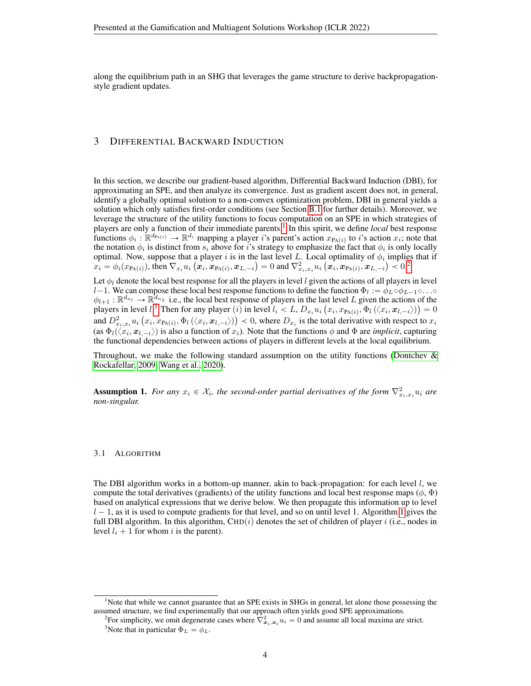along the equilibrium path in an SHG that leverages the game structure to derive backpropagationstyle gradient updates.

# 3 DIFFERENTIAL BACKWARD INDUCTION

In this section, we describe our gradient-based algorithm, Differential Backward Induction (DBI), for approximating an SPE, and then analyze its convergence. Just as gradient ascent does not, in general, identify a globally optimal solution to a non-convex optimization problem, DBI in general yields a solution which only satisfies first-order conditions (see Section [B.1](#page-11-1) for further details). Moreover, we leverage the structure of the utility functions to focus computation on an SPE in which strategies of players are only a function of their immediate parents.<sup>[1](#page-3-0)</sup> In this spirit, we define *local* best response functions  $\phi_i : \mathbb{R}^{d_{\text{PA}(i)}} \to \mathbb{R}^{d_i}$  mapping a player i's parent's action  $x_{\text{PA}(i)}$  to i's action  $x_i$ ; note that the notation  $\phi_i$  is distinct from  $s_i$  above for i's strategy to emphasize the fact that  $\phi_i$  is only locally optimal. Now, suppose that a player i is in the last level L. Local optimality of  $\phi_i$  implies that if  $x_i = \phi_i(x_{\text{PA}(i)}),$  then  $\nabla_{x_i}u_i$ a  $\boldsymbol{x}_i, \boldsymbol{x}_{\text{PA}(i)}, \boldsymbol{x}_{L,-i}$ e  $= 0$  and  $\nabla^2_{x_i, x_i} u_i$  $\mathbf{l}$  $\boldsymbol{x}_i, \boldsymbol{x}_{\text{PA}(i)}, \boldsymbol{x}_{L,-i}$  $\mathbf{i}$  $\leq 0.2$  $\leq 0.2$ 

Let  $\phi_l$  denote the local best response for all the players in level l given the actions of all players in level  $l-1$ . We can compose these local best response functions to define the function  $\Phi_l := \phi_L \circ \phi_{L-1} \circ \ldots \circ$  $\phi_{l+1} : \mathbb{R}^{d_{n_l}} \to \mathbb{R}^{d_{n_L}}$  i.e., the local best response of players in the last level L given the actions of the  $\phi_{l+1} : \mathbb{R}^{d_{n_l}} \to \mathbb{R}^{d_{n_L}}$  i.e., the local best response of players in the last level L given the actions of the players in level  $l$ .<sup>[3](#page-3-2)</sup> Then for any player (*i*) in level  $l_i < L$ ,  $D_{x_i} u_i (x_i, x_{P_A(i)}, \Phi_l(\langle x_i, x_{l,$ players in level *t*.<sup>3</sup> Then for any player (*t*) in level  $t_i < L$ ,  $D_{x_i}u_i(x_i, x_{P_A(i)}, \Phi_l(\langle x_i, x_{l,-i} \rangle)) = 0$  and  $D_{x_i,x_i}^2u_i(x_i, x_{P_A(i)}, \Phi_l(\langle x_i, x_{l,-i} \rangle)) < 0$ , where  $D_{x_i}$  is the total derivative with respect to  $x_i$ (as  $\Phi_l(\langle x_i, x_{l,-i} \rangle)$  is also a function of  $x_i$ ). Note that the functions  $\phi$  and  $\Phi$  are *implicit*, capturing the functional dependencies between actions of players in different levels at the local equilibrium.

Throughout, we make the following standard assumption on the utility functions (Dontchev  $\&$ [Rockafellar, 2009;](#page-8-7) [Wang et al., 2020\)](#page-10-1).

<span id="page-3-3"></span>**Assumption 1.** For any  $x_i \in \mathcal{X}_i$ , the second-order partial derivatives of the form  $\nabla^2_{x_i,x_i} u_i$  are *non-singular.*

#### 3.1 ALGORITHM

The DBI algorithm works in a bottom-up manner, akin to back-propagation: for each level l, we compute the total derivatives (gradients) of the utility functions and local best response maps ( $\phi$ ,  $\Phi$ ) based on analytical expressions that we derive below. We then propagate this information up to level  $l - 1$  $l - 1$ , as it is used to compute gradients for that level, and so on until level 1. Algorithm 1 gives the full DBI algorithm. In this algorithm,  $CHD(i)$  denotes the set of children of player i (i.e., nodes in level  $l_i + 1$  for whom i is the parent).

<span id="page-3-0"></span><sup>&</sup>lt;sup>1</sup>Note that while we cannot guarantee that an SPE exists in SHGs in general, let alone those possessing the assumed structure, we find experimentally that our approach often yields good SPE approximations.

<span id="page-3-2"></span><span id="page-3-1"></span><sup>&</sup>lt;sup>2</sup> For simplicity, we omit degenerate cases where  $\nabla^2_{x_i,x_i} u_i = 0$  and assume all local maxima are strict. <sup>3</sup>Note that in particular  $\Phi_L = \phi_L$ .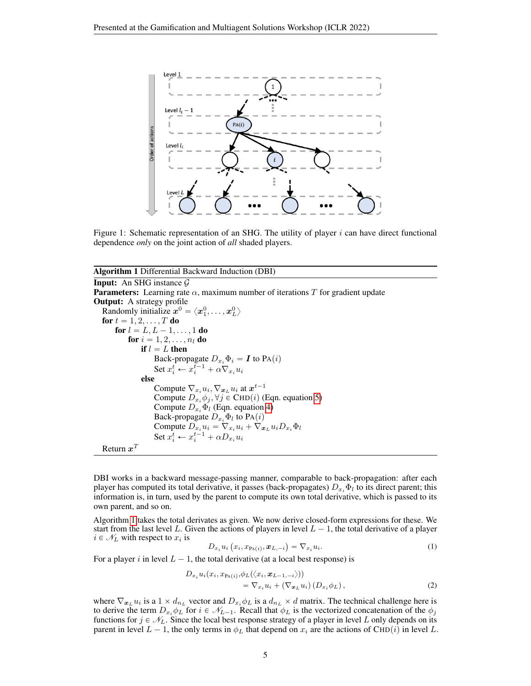<span id="page-4-0"></span>

Figure 1: Schematic representation of an SHG. The utility of player  $i$  can have direct functional dependence *only* on the joint action of *all* shaded players.

<span id="page-4-1"></span>Algorithm 1 Differential Backward Induction (DBI)

```
Input: An SHG instance \mathcal{G}Parameters: Learning rate \alpha, maximum number of iterations T for gradient update
Output: A strategy profile
   Randomly initialize x^0 = \langle x_1^0, \ldots, x_L^0 \ranglefor t = 1, 2, \ldots, T do
       for l = L, L - 1, ..., 1 do
            for i = 1, 2, ..., n_l do
                 if l = L then
                      Back-propagate D_{x_i}\Phi_i = \boldsymbol{I} to PA(i)Set x_i^t \leftarrow x_i^{t-1} + \alpha \nabla_{x_i} u_ielse
                      Compute \nabla_{x_i} u_i, \nabla_{x_L} u_i at x^{t-1}Compute D_{x_i}\phi_j, \forall j \in \text{CHD}(i) 5)
                      Compute D_{x_i} \Phi_l 4)
                      Back-propagate D_{x_i} \Phi_l to PA(i)Compute D_{x_i}u_i = \nabla_{x_i}u_i + \nabla_{x_L}u_iD_{x_i}\Phi_lSet x_i^t \leftarrow x_i^{t-1} + \alpha D_{x_i} u_iReturn x^T
```
DBI works in a backward message-passing manner, comparable to back-propagation: after each player has computed its total derivative, it passes (back-propagates)  $D_{x_i}\Phi_l$  to its direct parent; this information is, in turn, used by the parent to compute its own total derivative, which is passed to its own parent, and so on.

Algorithm [1](#page-4-1) takes the total derivates as given. We now derive closed-form expressions for these. We start from the last level L. Given the actions of players in level  $L - 1$ , the total derivative of a player  $i \in \mathcal{N}_L$  with respect to  $x_i$  is

<span id="page-4-2"></span>
$$
D_{x_i} u_i \left( x_i, x_{\text{PA}(i)}, \boldsymbol{x}_{L, -i} \right) = \nabla_{x_i} u_i. \tag{1}
$$

For a player i in level  $L - 1$ , the total derivative (at a local best response) is

$$
D_{x_i} u_i(x_i, x_{\text{PA}(i)}, \phi_L(\langle x_i, \boldsymbol{x}_{L-1,-i} \rangle))
$$
  
=  $\nabla_{x_i} u_i + (\nabla_{\boldsymbol{x}_L} u_i) (D_{x_i} \phi_L),$  (2)

where  $\nabla_{x_L} u_i$  is a  $1 \times d_{n_L}$  vector and  $D_{x_i} \phi_L$  is a  $d_{n_L} \times d$  matrix. The technical challenge here is to derive the term  $D_{x_i}\phi_L$  for  $i \in \mathcal{N}_{L-1}$ . Recall that  $\phi_L$  is the vectorized concatenation of the  $\phi_j$ functions for  $j \in \mathcal{N}_L$ . Since the local best response strategy of a player in level L only depends on its parent in level  $L - 1$ , the only terms in  $\phi_L$  that depend on  $x_i$  are the actions of CHD(i) in level L.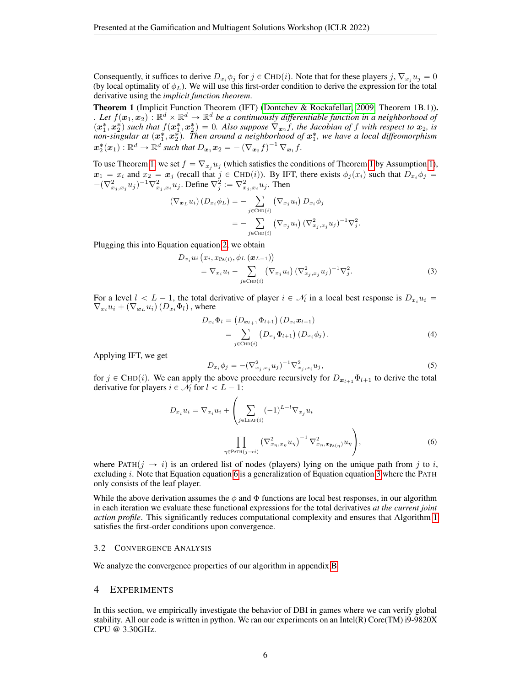Consequently, it suffices to derive  $D_{x_i}\phi_j$  for  $j \in \text{CHD}(i)$ . Note that for these players  $j, \nabla_{x_i} u_j = 0$ (by local optimality of  $\phi_L$ ). We will use this first-order condition to derive the expression for the total derivative using the *implicit function theorem*.

<span id="page-5-3"></span>Theorem 1 (Implicit Function Theorem (IFT) [\(Dontchev & Rockafellar, 2009,](#page-8-7) Theorem 1B.1)). *. Let*  $f(x_1, x_2)$  :  $\mathbb{R}^d \times \mathbb{R}^d \to \mathbb{R}^d$  be a continuously differentiable function in a neighborhood of  $(x_1^*, x_2^*)$  such that  $f(x_1^*, x_2^*) = 0$ . Also suppose  $\nabla_{x_2} f$ , the Jacobian of f with respect to  $x_2$ , is non-singular at  $(x_1^*, x_2^*)$ . Then around a neighborhood of  $x_1^*$ , we have a local diffeomorphism  $\mathbf{x}_2^*(\mathbf{x}_1): \mathbb{R}^d \to \mathbb{R}^d$  such that  $D_{\mathbf{x}_1} \mathbf{x}_2 = -(\nabla_{\mathbf{x}_2} f)^{-1} \nabla_{\mathbf{x}_1} f$ .

To use Theorem [1,](#page-5-3) we set  $f = \nabla_{x_j} u_j$  (which satisfies the conditions of Theorem [1](#page-5-3) by Assumption [1\)](#page-3-3),  $x_1 = x_i$  and  $x_2 = x_j$  (recall that  $j \in \text{CHD}(i)$ ). By IFT, there exists  $\phi_j(x_i)$  such that  $D_{x_i}\phi_j =$  $-(\nabla^2_{x_j,x_j}u_j)^{-1}\nabla^2_{x_j,x_i}u_j$ . Define  $\nabla^2_j := \nabla^2_{x_j,x_i}u_j$ . Then

$$
(\nabla_{\boldsymbol{x}_L} u_i) (D_{x_i} \phi_L) = - \sum_{j \in \text{CHD}(i)} (\nabla_{x_j} u_i) D_{x_i} \phi_j
$$
  
= 
$$
- \sum_{j \in \text{CHD}(i)} (\nabla_{x_j} u_i) (\nabla_{x_j, x_j}^2 u_j)^{-1} \nabla_j^2
$$

Plugging this into Equation equation [2,](#page-4-2) we obtain `

$$
D_{x_i} u_i \left( x_i, x_{\text{PA}(i)}, \phi_L \left( \boldsymbol{x}_{L-1} \right) \right) = \nabla_{x_i} u_i - \sum_{j \in \text{CHD}(i)} \left( \nabla_{x_j} u_i \right) \left( \nabla_{x_j, x_j}^2 u_j \right)^{-1} \nabla_j^2.
$$
 (3)

<span id="page-5-5"></span><span id="page-5-4"></span><span id="page-5-2"></span>.

For a level  $l < L - 1$ , the total derivative of player  $i \in \mathcal{N}_l$  in a local best response is  $D_{x_i}u_i =$  $\nabla_{x_i} u_i + (\nabla_{x_L} u_i) (D_{x_i} \Phi_l)$ , where

$$
D_{x_i} \Phi_l = \left(D_{\boldsymbol{x}_{l+1}} \Phi_{l+1}\right) \left(D_{x_i} \boldsymbol{x}_{l+1}\right)
$$
  
= 
$$
\sum_{j \in \text{CHD}(i)} \left(D_{x_j} \Phi_{l+1}\right) \left(D_{x_i} \phi_j\right).
$$
 (4)

Applying IFT, we get

<span id="page-5-1"></span>
$$
D_{x_i} \phi_j = -(\nabla_{x_j, x_j}^2 u_j)^{-1} \nabla_{x_j, x_i}^2 u_j,
$$
\n(5)

for  $j \in \text{CHD}(i)$ . We can apply the above procedure recursively for  $D_{x_{1+1}}\Phi_{l+1}$  to derive the total derivative for players  $i \in \mathcal{N}_l$  for  $l < L - 1$ :

$$
D_{x_i} u_i = \nabla_{x_i} u_i + \left( \sum_{j \in \text{LEAF}(i)} (-1)^{L-l} \nabla_{x_j} u_i \right)
$$

$$
\prod_{\eta \in \text{PATH}(j \to i)} \left( \nabla_{x_\eta, x_\eta}^2 u_\eta \right)^{-1} \nabla_{x_\eta, \mathbf{x}_{\text{PA}}(\eta)}^2 u_\eta \right), \tag{6}
$$

where PATH $(j \rightarrow i)$  is an ordered list of nodes (players) lying on the unique path from j to i, excluding i. Note that Equation equation [6](#page-5-4) is a generalization of Equation equation [3](#page-5-5) where the PATH only consists of the leaf player.

While the above derivation assumes the  $\phi$  and  $\Phi$  functions are local best responses, in our algorithm in each iteration we evaluate these functional expressions for the total derivatives *at the current joint action profile*. This significantly reduces computational complexity and ensures that Algorithm [1](#page-4-1) satisfies the first-order conditions upon convergence.

#### 3.2 CONVERGENCE ANALYSIS

We analyze the convergence properties of our algorithm in appendix [B](#page-11-2)

#### <span id="page-5-0"></span>4 EXPERIMENTS

In this section, we empirically investigate the behavior of DBI in games where we can verify global stability. All our code is written in python. We ran our experiments on an Intel(R) Core(TM) i9-9820X CPU @ 3.30GHz.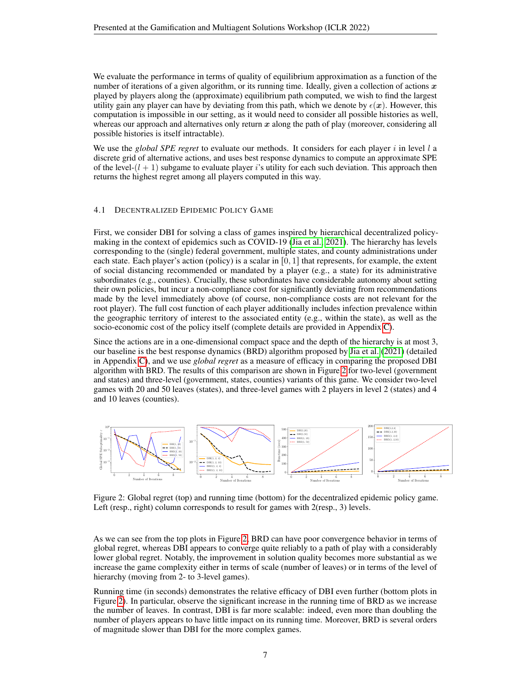We evaluate the performance in terms of quality of equilibrium approximation as a function of the number of iterations of a given algorithm, or its running time. Ideally, given a collection of actions  $x$ played by players along the (approximate) equilibrium path computed, we wish to find the largest utility gain any player can have by deviating from this path, which we denote by  $\epsilon(x)$ . However, this computation is impossible in our setting, as it would need to consider all possible histories as well, whereas our approach and alternatives only return  $x$  along the path of play (moreover, considering all possible histories is itself intractable).

We use the *global SPE regret* to evaluate our methods. It considers for each player i in level l a discrete grid of alternative actions, and uses best response dynamics to compute an approximate SPE of the level- $(l + 1)$  subgame to evaluate player i's utility for each such deviation. This approach then returns the highest regret among all players computed in this way.

#### <span id="page-6-1"></span>4.1 DECENTRALIZED EPIDEMIC POLICY GAME

First, we consider DBI for solving a class of games inspired by hierarchical decentralized policymaking in the context of epidemics such as COVID-19 [\(Jia et al., 2021\)](#page-9-15). The hierarchy has levels corresponding to the (single) federal government, multiple states, and county administrations under each state. Each player's action (policy) is a scalar in  $[0, 1]$  that represents, for example, the extent of social distancing recommended or mandated by a player (e.g., a state) for its administrative subordinates (e.g., counties). Crucially, these subordinates have considerable autonomy about setting their own policies, but incur a non-compliance cost for significantly deviating from recommendations made by the level immediately above (of course, non-compliance costs are not relevant for the root player). The full cost function of each player additionally includes infection prevalence within the geographic territory of interest to the associated entity (e.g., within the state), as well as the socio-economic cost of the policy itself (complete details are provided in Appendix [C\)](#page-14-0).

Since the actions are in a one-dimensional compact space and the depth of the hierarchy is at most 3, our baseline is the best response dynamics (BRD) algorithm proposed by [Jia et al.](#page-9-15) [\(2021\)](#page-9-15) (detailed in Appendix [C\)](#page-14-0), and we use *global regret* as a measure of efficacy in comparing the proposed DBI algorithm with BRD. The results of this comparison are shown in Figure [2](#page-6-0) for two-level (government and states) and three-level (government, states, counties) variants of this game. We consider two-level games with 20 and 50 leaves (states), and three-level games with 2 players in level 2 (states) and 4 and 10 leaves (counties).

<span id="page-6-0"></span>

Figure 2: Global regret (top) and running time (bottom) for the decentralized epidemic policy game. Left (resp., right) column corresponds to result for games with 2(resp., 3) levels.

As we can see from the top plots in Figure [2,](#page-6-0) BRD can have poor convergence behavior in terms of global regret, whereas DBI appears to converge quite reliably to a path of play with a considerably lower global regret. Notably, the improvement in solution quality becomes more substantial as we increase the game complexity either in terms of scale (number of leaves) or in terms of the level of hierarchy (moving from 2- to 3-level games).

Running time (in seconds) demonstrates the relative efficacy of DBI even further (bottom plots in Figure [2\)](#page-6-0). In particular, observe the significant increase in the running time of BRD as we increase the number of leaves. In contrast, DBI is far more scalable: indeed, even more than doubling the number of players appears to have little impact on its running time. Moreover, BRD is several orders of magnitude slower than DBI for the more complex games.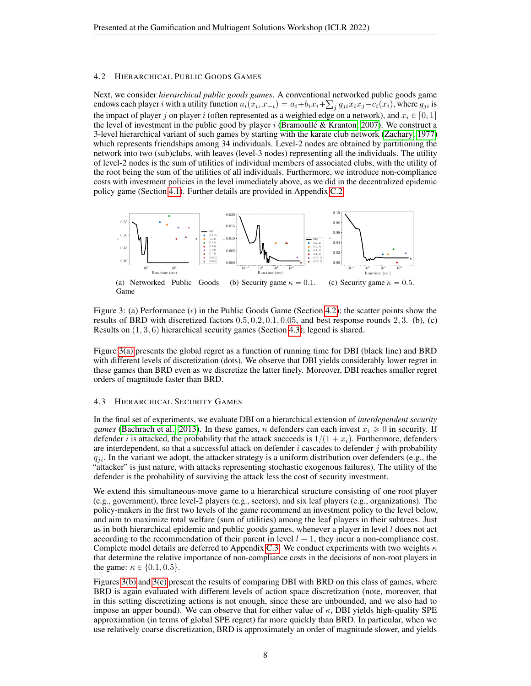#### <span id="page-7-0"></span>4.2 HIERARCHICAL PUBLIC GOODS GAMES

Next, we consider *hierarchical public goods games*. A conventional networked public goods game ř endows each player  $i$  with a utility function  $u_i(x_i, x_{-i}) = a_i + b_i x_i + \sum_j g_{ji} x_i x_j - c_i(x_i)$ , where  $g_{ji}$  is the impact of player j on player i (often represented as a weighted edge on a network), and  $x_i \in [0, 1]$ the level of investment in the public good by player i (Bramoullé & Kranton, 2007). We construct a 3-level hierarchical variant of such games by starting with the karate club network [\(Zachary, 1977\)](#page-10-4) which represents friendships among 34 individuals. Level-2 nodes are obtained by partitioning the network into two (sub)clubs, with leaves (level-3 nodes) representing all the individuals. The utility of level-2 nodes is the sum of utilities of individual members of associated clubs, with the utility of the root being the sum of the utilities of all individuals. Furthermore, we introduce non-compliance costs with investment policies in the level immediately above, as we did in the decentralized epidemic policy game (Section [4.1\)](#page-6-1). Further details are provided in Appendix [C.2.](#page-17-0)

<span id="page-7-4"></span><span id="page-7-3"></span><span id="page-7-2"></span>

Figure 3: (a) Performance ( $\epsilon$ ) in the Public Goods Game (Section [4.2\)](#page-7-0); the scatter points show the results of BRD with discretized factors  $0.5, 0.2, 0.1, 0.05$ , and best response rounds  $2, 3$ . (b), (c) Results on  $(1, 3, 6)$  hierarchical security games (Section [4.3\)](#page-7-1); legend is shared.

Figure [3\(a\)](#page-7-2) presents the global regret as a function of running time for DBI (black line) and BRD with different levels of discretization (dots). We observe that DBI yields considerably lower regret in these games than BRD even as we discretize the latter finely. Moreover, DBI reaches smaller regret orders of magnitude faster than BRD.

#### <span id="page-7-1"></span>4.3 HIERARCHICAL SECURITY GAMES

In the final set of experiments, we evaluate DBI on a hierarchical extension of *interdependent security games* [\(Bachrach et al., 2013\)](#page-8-9). In these games, *n* defenders can each invest  $x_i \ge 0$  in security. If defender *i* is attacked, the probability that the attack succeeds is  $1/(1 + x_i)$ . Furthermore, defenders are interdependent, so that a successful attack on defender  $i$  cascades to defender  $j$  with probability  $q_{ij}$ . In the variant we adopt, the attacker strategy is a uniform distribution over defenders (e.g., the "attacker" is just nature, with attacks representing stochastic exogenous failures). The utility of the defender is the probability of surviving the attack less the cost of security investment.

We extend this simultaneous-move game to a hierarchical structure consisting of one root player (e.g., government), three level-2 players (e.g., sectors), and six leaf players (e.g., organizations). The policy-makers in the first two levels of the game recommend an investment policy to the level below, and aim to maximize total welfare (sum of utilities) among the leaf players in their subtrees. Just as in both hierarchical epidemic and public goods games, whenever a player in level  $l$  does not act according to the recommendation of their parent in level  $l - 1$ , they incur a non-compliance cost. Complete model details are deferred to Appendix [C.3.](#page-18-0) We conduct experiments with two weights  $\kappa$ that determine the relative importance of non-compliance costs in the decisions of non-root players in the game:  $\kappa \in \{0.1, 0.5\}.$ 

Figures [3\(b\)](#page-7-3) and [3\(c\)](#page-7-4) present the results of comparing DBI with BRD on this class of games, where BRD is again evaluated with different levels of action space discretization (note, moreover, that in this setting discretizing actions is not enough, since these are unbounded, and we also had to impose an upper bound). We can observe that for either value of  $\kappa$ , DBI yields high-quality SPE approximation (in terms of global SPE regret) far more quickly than BRD. In particular, when we use relatively coarse discretization, BRD is approximately an order of magnitude slower, and yields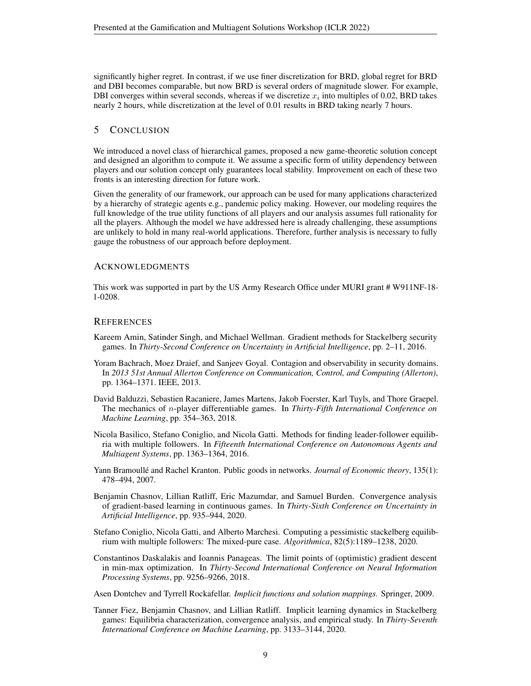significantly higher regret. In contrast, if we use finer discretization for BRD, global regret for BRD and DBI becomes comparable, but now BRD is several orders of magnitude slower. For example, DBI converges within several seconds, whereas if we discretize  $x_i$  into multiples of 0.02, BRD takes nearly 2 hours, while discretization at the level of 0.01 results in BRD taking nearly 7 hours.

## 5 CONCLUSION

We introduced a novel class of hierarchical games, proposed a new game-theoretic solution concept and designed an algorithm to compute it. We assume a specific form of utility dependency between players and our solution concept only guarantees local stability. Improvement on each of these two fronts is an interesting direction for future work.

Given the generality of our framework, our approach can be used for many applications characterized by a hierarchy of strategic agents e.g., pandemic policy making. However, our modeling requires the full knowledge of the true utility functions of all players and our analysis assumes full rationality for all the players. Although the model we have addressed here is already challenging, these assumptions are unlikely to hold in many real-world applications. Therefore, further analysis is necessary to fully gauge the robustness of our approach before deployment.

## ACKNOWLEDGMENTS

This work was supported in part by the US Army Research Office under MURI grant # W911NF-18- 1-0208.

#### **REFERENCES**

- <span id="page-8-6"></span>Kareem Amin, Satinder Singh, and Michael Wellman. Gradient methods for Stackelberg security games. In *Thirty-Second Conference on Uncertainty in Artificial Intelligence*, pp. 2–11, 2016.
- <span id="page-8-9"></span>Yoram Bachrach, Moez Draief, and Sanjeev Goyal. Contagion and observability in security domains. In *2013 51st Annual Allerton Conference on Communication, Control, and Computing (Allerton)*, pp. 1364–1371. IEEE, 2013.
- <span id="page-8-4"></span>David Balduzzi, Sebastien Racaniere, James Martens, Jakob Foerster, Karl Tuyls, and Thore Graepel. The mechanics of n-player differentiable games. In *Thirty-Fifth International Conference on Machine Learning*, pp. 354–363, 2018.
- <span id="page-8-1"></span>Nicola Basilico, Stefano Coniglio, and Nicola Gatti. Methods for finding leader-follower equilibria with multiple followers. In *Fifteenth International Conference on Autonomous Agents and Multiagent Systems*, pp. 1363–1364, 2016.
- <span id="page-8-8"></span>Yann Bramoullé and Rachel Kranton. Public goods in networks. *Journal of Economic theory*, 135(1): 478–494, 2007.
- <span id="page-8-5"></span>Benjamin Chasnov, Lillian Ratliff, Eric Mazumdar, and Samuel Burden. Convergence analysis of gradient-based learning in continuous games. In *Thirty-Sixth Conference on Uncertainty in Artificial Intelligence*, pp. 935–944, 2020.
- <span id="page-8-2"></span>Stefano Coniglio, Nicola Gatti, and Alberto Marchesi. Computing a pessimistic stackelberg equilibrium with multiple followers: The mixed-pure case. *Algorithmica*, 82(5):1189–1238, 2020.
- <span id="page-8-3"></span>Constantinos Daskalakis and Ioannis Panageas. The limit points of (optimistic) gradient descent in min-max optimization. In *Thirty-Second International Conference on Neural Information Processing Systems*, pp. 9256–9266, 2018.
- <span id="page-8-7"></span>Asen Dontchev and Tyrrell Rockafellar. *Implicit functions and solution mappings*. Springer, 2009.
- <span id="page-8-0"></span>Tanner Fiez, Benjamin Chasnov, and Lillian Ratliff. Implicit learning dynamics in Stackelberg games: Equilibria characterization, convergence analysis, and empirical study. In *Thirty-Seventh International Conference on Machine Learning*, pp. 3133–3144, 2020.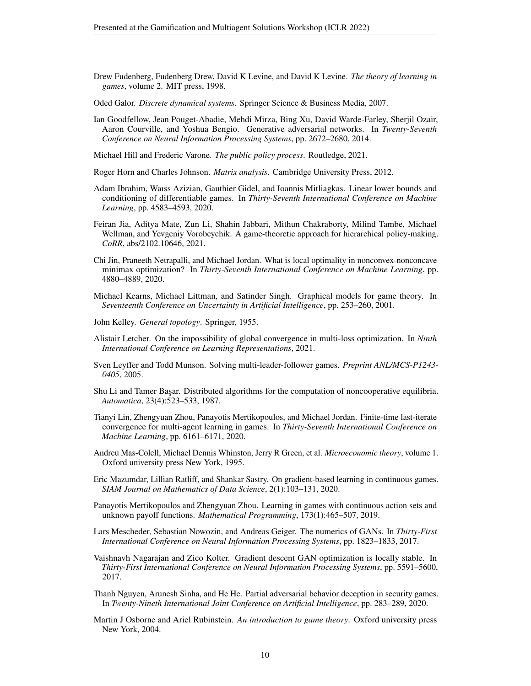- <span id="page-9-1"></span>Drew Fudenberg, Fudenberg Drew, David K Levine, and David K Levine. *The theory of learning in games*, volume 2. MIT press, 1998.
- <span id="page-9-18"></span>Oded Galor. *Discrete dynamical systems*. Springer Science & Business Media, 2007.
- <span id="page-9-4"></span>Ian Goodfellow, Jean Pouget-Abadie, Mehdi Mirza, Bing Xu, David Warde-Farley, Sherjil Ozair, Aaron Courville, and Yoshua Bengio. Generative adversarial networks. In *Twenty-Seventh Conference on Neural Information Processing Systems*, pp. 2672–2680, 2014.

<span id="page-9-0"></span>Michael Hill and Frederic Varone. *The public policy process*. Routledge, 2021.

<span id="page-9-19"></span>Roger Horn and Charles Johnson. *Matrix analysis*. Cambridge University Press, 2012.

- <span id="page-9-10"></span>Adam Ibrahim, Waıss Azizian, Gauthier Gidel, and Ioannis Mitliagkas. Linear lower bounds and conditioning of differentiable games. In *Thirty-Seventh International Conference on Machine Learning*, pp. 4583–4593, 2020.
- <span id="page-9-15"></span>Feiran Jia, Aditya Mate, Zun Li, Shahin Jabbari, Mithun Chakraborty, Milind Tambe, Michael Wellman, and Yevgeniy Vorobeychik. A game-theoretic approach for hierarchical policy-making. *CoRR*, abs/2102.10646, 2021.
- <span id="page-9-5"></span>Chi Jin, Praneeth Netrapalli, and Michael Jordan. What is local optimality in nonconvex-nonconcave minimax optimization? In *Thirty-Seventh International Conference on Machine Learning*, pp. 4880–4889, 2020.
- <span id="page-9-3"></span>Michael Kearns, Michael Littman, and Satinder Singh. Graphical models for game theory. In *Seventeenth Conference on Uncertainty in Artificial Intelligence*, pp. 253–260, 2001.
- <span id="page-9-20"></span>John Kelley. *General topology*. Springer, 1955.
- <span id="page-9-11"></span>Alistair Letcher. On the impossibility of global convergence in multi-loss optimization. In *Ninth International Conference on Learning Representations*, 2021.
- <span id="page-9-2"></span>Sven Leyffer and Todd Munson. Solving multi-leader-follower games. *Preprint ANL/MCS-P1243- 0405*, 2005.
- <span id="page-9-13"></span>Shu Li and Tamer Bas¸ar. Distributed algorithms for the computation of noncooperative equilibria. *Automatica*, 23(4):523–533, 1987.
- <span id="page-9-12"></span>Tianyi Lin, Zhengyuan Zhou, Panayotis Mertikopoulos, and Michael Jordan. Finite-time last-iterate convergence for multi-agent learning in games. In *Thirty-Seventh International Conference on Machine Learning*, pp. 6161–6171, 2020.
- <span id="page-9-17"></span>Andreu Mas-Colell, Michael Dennis Whinston, Jerry R Green, et al. *Microeconomic theory*, volume 1. Oxford university press New York, 1995.
- <span id="page-9-9"></span>Eric Mazumdar, Lillian Ratliff, and Shankar Sastry. On gradient-based learning in continuous games. *SIAM Journal on Mathematics of Data Science*, 2(1):103–131, 2020.
- <span id="page-9-7"></span>Panayotis Mertikopoulos and Zhengyuan Zhou. Learning in games with continuous action sets and unknown payoff functions. *Mathematical Programming*, 173(1):465–507, 2019.
- <span id="page-9-8"></span>Lars Mescheder, Sebastian Nowozin, and Andreas Geiger. The numerics of GANs. In *Thirty-First International Conference on Neural Information Processing Systems*, pp. 1823–1833, 2017.
- <span id="page-9-6"></span>Vaishnavh Nagarajan and Zico Kolter. Gradient descent GAN optimization is locally stable. In *Thirty-First International Conference on Neural Information Processing Systems*, pp. 5591–5600, 2017.
- <span id="page-9-14"></span>Thanh Nguyen, Arunesh Sinha, and He He. Partial adversarial behavior deception in security games. In *Twenty-Nineth International Joint Conference on Artificial Intelligence*, pp. 283–289, 2020.
- <span id="page-9-16"></span>Martin J Osborne and Ariel Rubinstein. *An introduction to game theory*. Oxford university press New York, 2004.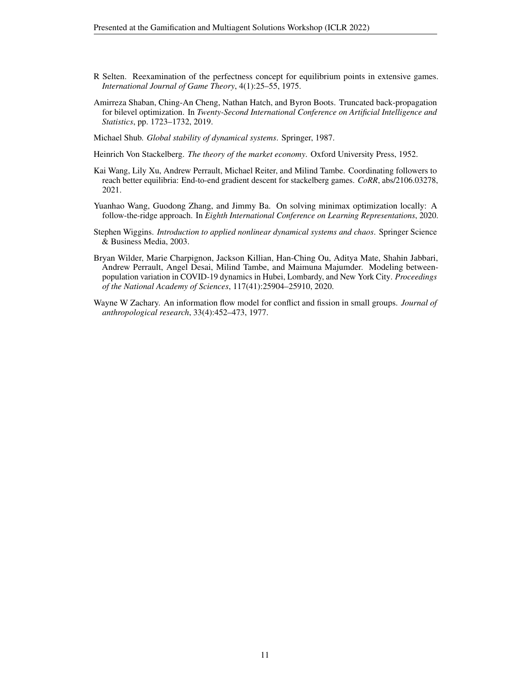- <span id="page-10-5"></span>R Selten. Reexamination of the perfectness concept for equilibrium points in extensive games. *International Journal of Game Theory*, 4(1):25–55, 1975.
- <span id="page-10-2"></span>Amirreza Shaban, Ching-An Cheng, Nathan Hatch, and Byron Boots. Truncated back-propagation for bilevel optimization. In *Twenty-Second International Conference on Artificial Intelligence and Statistics*, pp. 1723–1732, 2019.
- <span id="page-10-7"></span>Michael Shub. *Global stability of dynamical systems*. Springer, 1987.
- <span id="page-10-0"></span>Heinrich Von Stackelberg. *The theory of the market economy*. Oxford University Press, 1952.
- <span id="page-10-3"></span>Kai Wang, Lily Xu, Andrew Perrault, Michael Reiter, and Milind Tambe. Coordinating followers to reach better equilibria: End-to-end gradient descent for stackelberg games. *CoRR*, abs/2106.03278, 2021.
- <span id="page-10-1"></span>Yuanhao Wang, Guodong Zhang, and Jimmy Ba. On solving minimax optimization locally: A follow-the-ridge approach. In *Eighth International Conference on Learning Representations*, 2020.
- <span id="page-10-6"></span>Stephen Wiggins. *Introduction to applied nonlinear dynamical systems and chaos*. Springer Science & Business Media, 2003.
- <span id="page-10-8"></span>Bryan Wilder, Marie Charpignon, Jackson Killian, Han-Ching Ou, Aditya Mate, Shahin Jabbari, Andrew Perrault, Angel Desai, Milind Tambe, and Maimuna Majumder. Modeling betweenpopulation variation in COVID-19 dynamics in Hubei, Lombardy, and New York City. *Proceedings of the National Academy of Sciences*, 117(41):25904–25910, 2020.
- <span id="page-10-4"></span>Wayne W Zachary. An information flow model for conflict and fission in small groups. *Journal of anthropological research*, 33(4):452–473, 1977.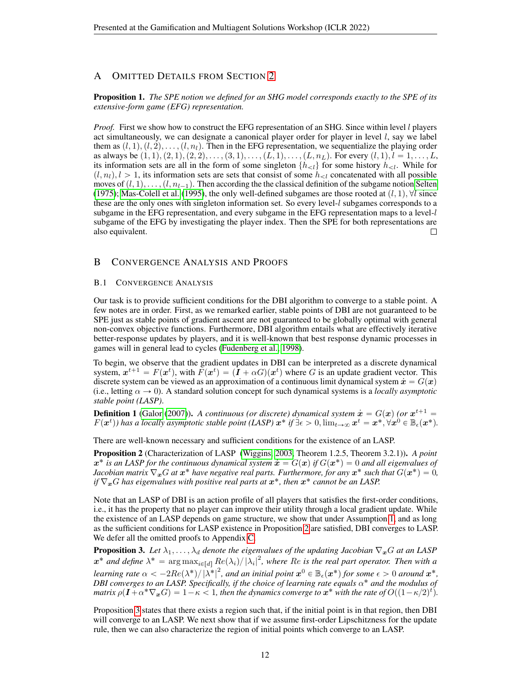# A OMITTED DETAILS FROM SECTION [2](#page-1-0)

#### <span id="page-11-0"></span>Proposition 1. *The SPE notion we defined for an SHG model corresponds exactly to the SPE of its extensive-form game (EFG) representation.*

*Proof.* First we show how to construct the EFG representation of an SHG. Since within level l players act simultaneously, we can designate a canonical player order for player in level  $l$ , say we label them as  $(l, 1), (l, 2), \ldots, (l, n_l)$ . Then in the EFG representation, we sequentialize the playing order as always be  $(1, 1), (2, 1), (2, 2), \ldots, (3, 1), \ldots, (L, 1), \ldots, (L, n<sub>L</sub>)$ . For every  $(l, 1), l = 1, \ldots, L$ , its information sets are all in the form of some singleton  $\{h_{\lt l}\}\$  for some history  $h_{\lt l}\$ . While for  $(l, n_l), l > 1$ , its information sets are sets that consist of some  $h_{\leq l}$  concatenated with all possible moves of  $(l, 1), \ldots, (l, n_{l-1})$ . Then according the the classical definition of the subgame notion [Selten](#page-10-5) [\(1975\)](#page-10-5); [Mas-Colell et al.](#page-9-17) [\(1995\)](#page-9-17), the only well-defined subgames are those rooted at  $(l, 1)$ ,  $\forall l$  since these are the only ones with singleton information set. So every level-l subgames corresponds to a subgame in the EFG representation, and every subgame in the EFG representation maps to a level- $l$ subgame of the EFG by investigating the player index. Then the SPE for both representations are also equivalent. П

## <span id="page-11-2"></span>B CONVERGENCE ANALYSIS AND PROOFS

#### <span id="page-11-1"></span>B.1 CONVERGENCE ANALYSIS

Our task is to provide sufficient conditions for the DBI algorithm to converge to a stable point. A few notes are in order. First, as we remarked earlier, stable points of DBI are not guaranteed to be SPE just as stable points of gradient ascent are not guaranteed to be globally optimal with general non-convex objective functions. Furthermore, DBI algorithm entails what are effectively iterative better-response updates by players, and it is well-known that best response dynamic processes in games will in general lead to cycles [\(Fudenberg et al., 1998\)](#page-9-1).

To begin, we observe that the gradient updates in DBI can be interpreted as a discrete dynamical system,  $x^{t+1} = F(x^t)$ , with  $\overline{F}(x^t) = (\overline{I} + \alpha G)(x^t)$  where G is an update gradient vector. This discrete system can be viewed as an approximation of a continuous limit dynamical system  $\dot{x} = G(x)$ (i.e., letting  $\alpha \rightarrow 0$ ). A standard solution concept for such dynamical systems is a *locally asymptotic stable point (LASP)*.

**Definition 1** [\(Galor](#page-9-18) [\(2007\)](#page-9-18)). A continuous (or discrete) dynamical system  $\dot{x} = G(x)$  (or  $x^{t+1} =$  $F(\boldsymbol{x}^t)$ ) has a locally asymptotic stable point (LASP)  $\boldsymbol{x}^*$  if  $\exists \epsilon > 0$ ,  $\lim_{t \to \infty} \boldsymbol{x}^t = \boldsymbol{x}^*, \forall \boldsymbol{x}^0 \in \mathbb{B}_{\epsilon}(\boldsymbol{x}^*).$ 

There are well-known necessary and sufficient conditions for the existence of an LASP.

<span id="page-11-3"></span>Proposition 2 (Characterization of LASP [\(Wiggins, 2003,](#page-10-6) Theorem 1.2.5, Theorem 3.2.1)). *A point*  $\bm{x^*}$  is an LASP for the continuous dynamical system  $\dot{\bm{x}} = G(\bm{x})$  if  $G(\bm{x^*}) = 0$  and all eigenvalues of *Jacobian matrix*  $\nabla_x G$  *at*  $x^*$  *have negative real parts. Furthermore, for any*  $x^*$  *such that*  $G(x^*) = 0$ , if  $\nabla_{\bm{x}} G$  has eigenvalues with positive real parts at  $\bm{x}^*$ , then  $\bm{x}^*$  cannot be an LASP.

Note that an LASP of DBI is an action profile of all players that satisfies the first-order conditions, i.e., it has the property that no player can improve their utility through a local gradient update. While the existence of an LASP depends on game structure, we show that under Assumption [1,](#page-3-3) and as long as the sufficient conditions for LASP existence in Proposition [2](#page-11-3) are satisfied, DBI converges to LASP. We defer all the omitted proofs to Appendix [C.](#page-14-0)

<span id="page-11-4"></span>**Proposition 3.** Let  $\lambda_1, \ldots, \lambda_d$  denote the eigenvalues of the updating Jacobian  $\nabla_x G$  at an LASP  $x^*$  and define  $\lambda^* = \arg \max_{i \in [d]} Re(\lambda_i) / |\lambda_i|^2$ , where  $Re$  is the real part operator. Then with a *learning rate*  $\alpha < -2Re(\lambda^*)/|\lambda^*|^2$ , and an initial point  $x^0 \in \mathbb{B}_{\epsilon}(x^*)$  for some  $\epsilon > 0$  around  $x^*$ , *DBI converges to an LASP. Specifically, if the choice of learning rate equals* α ˚ *and the modulus of matrix*  $\rho(\mathbf{I} + \alpha^* \nabla_x G) = 1 - \kappa < 1$ , then the dynamics converge to  $x^*$  with the rate of  $O((1 - \kappa/2)^t)$ .

Proposition [3](#page-11-4) states that there exists a region such that, if the initial point is in that region, then DBI will converge to an LASP. We next show that if we assume first-order Lipschitzness for the update rule, then we can also characterize the region of initial points which converge to an LASP.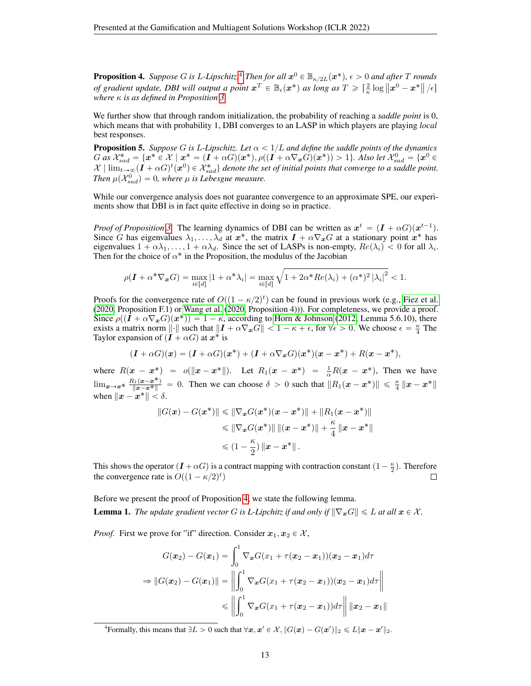<span id="page-12-1"></span>**Proposition [4](#page-12-0).** Suppose G is L-Lipschitz.<sup>4</sup> Then for all  $\mathbf{x}^0 \in \mathbb{B}_{\kappa/2L}(\bm{x}^*)$ ,  $\epsilon > 0$  and after T rounds *of gradient update, DBI will output a point*  $x^T \in \mathbb{B}_{\epsilon}(x^*)$  *as long as*  $T \geqslant \lceil \frac{2}{\kappa} \log \lceil |x^0 - x^*| \rceil / \epsilon \rceil$ *where* κ *is as defined in Proposition [3.](#page-11-4)*

We further show that through random initialization, the probability of reaching a *saddle point* is 0, which means that with probability 1, DBI converges to an LASP in which players are playing *local* best responses.

<span id="page-12-2"></span>**Proposition 5.** *Suppose G is L-Lipschitz. Let*  $\alpha < 1/L$  *and define the saddle points of the dynamics*  $G$  as  $\mathcal{X}^*_{sad} = \{x^* \in \mathcal{X} \mid x^* = (I + \alpha G)(x^*), \rho((I + \alpha \nabla_x G)(x^*)) > 1\}$ . Also let  $\mathcal{X}^0_{sad} = \{x^0 \in \mathcal{X} \mid x^* = (I + \alpha G)(x^*)\}$  $\mathcal{X} \mid \lim_{t\to\infty} (I+\alpha G)^t(\boldsymbol{x}^0)\in \mathcal{X}_{sad}^*$  denote the set of initial points that converge to a saddle point. Then  $\mu$  $(\mathcal{X}_{sad}^0) = 0$ , where  $\mu$  *is Lebesgue measure.* 

While our convergence analysis does not guarantee convergence to an approximate SPE, our experiments show that DBI is in fact quite effective in doing so in practice.

*Proof of Proposition [3.](#page-11-4)* The learning dynamics of DBI can be written as  $x^t = (I + \alpha G)(x^{t-1})$ . Since G has eigenvalues  $\lambda_1, \ldots, \lambda_d$  at  $x^*$ , the matrix  $I + \alpha \nabla_x G$  at a stationary point  $x^*$  has eigenvalues  $1 + \alpha \lambda_1, \ldots, 1 + \alpha \lambda_d$ . Since the set of LASPs is non-empty,  $Re(\lambda_i) < 0$  for all  $\lambda_i$ . Then for the choice of  $\alpha^*$  in the Proposition, the modulus of the Jacobian

$$
\rho(\boldsymbol{I} + \alpha^* \nabla_{\boldsymbol{x}} G) = \max_{i \in [d]} |1 + \alpha^* \lambda_i| = \max_{i \in [d]} \sqrt{1 + 2\alpha^* Re(\lambda_i) + (\alpha^*)^2 |\lambda_i|^2} < 1.
$$

Proofs for the convergence rate of  $O((1 - \kappa/2)^t)$  can be found in previous work (e.g., [Fiez et al.](#page-8-0) [\(2020,](#page-8-0) Proposition F.1) or [Wang et al.](#page-10-1) [\(2020,](#page-10-1) Proposition 4))). For completeness, we provide a proof. Since  $\rho((I + \alpha \nabla_x G)(x^*)) = 1 - \kappa$ , according to [Horn & Johnson](#page-9-19) [\(2012,](#page-9-19) Lemma 5.6.10), there exists a matrix norm  $\|\cdot\|$  such that  $\|\mathbf{I} + \alpha \nabla_{\boldsymbol{x}} G\| < 1 - \kappa + \epsilon$ , for  $\forall \epsilon > 0$ . We choose  $\epsilon = \frac{\kappa}{4}$  The Taylor expansion of  $(\mathbf{I} + \alpha G)$  at  $\mathbf{x}^*$  is

$$
(\mathbf{I}+\alpha G)(\mathbf{x})=(\mathbf{I}+\alpha G)(\mathbf{x}^*)+(\mathbf{I}+\alpha \nabla_{\mathbf{x}}G)(\mathbf{x}^*)(\mathbf{x}-\mathbf{x}^*)+R(\mathbf{x}-\mathbf{x}^*),
$$

where  $R(x - x^*)$  =  $o(||x - x^*||)$ . Let  $R_1(x - x^*)$  =  $\frac{1}{\alpha}R(x - x^*)$ , Then we have  $\lim_{x\to x^*} \frac{R_1(x-x^*)}{\|x-x^*\|} = 0$ . Then we can choose  $\delta > 0$  such that  $\|R_1(x-x^*)\| \leq \frac{\kappa}{4} \|x-x^*\|$ when  $\|\boldsymbol{x} - \boldsymbol{x}^*\| < \delta$ .

$$
||G(\mathbf{x}) - G(\mathbf{x}^*)|| \le ||\nabla_{\mathbf{x}} G(\mathbf{x}^*) (\mathbf{x} - \mathbf{x}^*)|| + ||R_1(\mathbf{x} - \mathbf{x}^*)||
$$
  
\n
$$
\le ||\nabla_{\mathbf{x}} G(\mathbf{x}^*)|| ||(\mathbf{x} - \mathbf{x}^*)|| + \frac{\kappa}{4} ||\mathbf{x} - \mathbf{x}^*||
$$
  
\n
$$
\le (1 - \frac{\kappa}{2}) ||\mathbf{x} - \mathbf{x}^*||.
$$

This shows the operator  $(I + \alpha G)$  is a contract mapping with contraction constant  $(1 - \frac{\kappa}{2})$ . Therefore the convergence rate is  $O((1 - \kappa/2)^t)$  $\Box$ 

Before we present the proof of Proposition [4,](#page-12-1) we state the following lemma.

**Lemma 1.** The update gradient vector G is L-Lipchitz if and only if  $\|\nabla_{x}G\| \leq L$  at all  $x \in \mathcal{X}$ .

*Proof.* First we prove for "if" direction. Consider  $x_1, x_2 \in \mathcal{X}$ ,

$$
G(\boldsymbol{x}_2) - G(\boldsymbol{x}_1) = \int_0^1 \nabla_{\boldsymbol{x}} G(x_1 + \tau(\boldsymbol{x}_2 - \boldsymbol{x}_1)) (\boldsymbol{x}_2 - \boldsymbol{x}_1) d\tau
$$
  
\n
$$
\Rightarrow ||G(\boldsymbol{x}_2) - G(\boldsymbol{x}_1)|| = \left\| \int_0^1 \nabla_{\boldsymbol{x}} G(x_1 + \tau(\boldsymbol{x}_2 - \boldsymbol{x}_1)) (\boldsymbol{x}_2 - \boldsymbol{x}_1) d\tau \right\|
$$
  
\n
$$
\leq \left\| \int_0^1 \nabla_{\boldsymbol{x}} G(x_1 + \tau(\boldsymbol{x}_2 - \boldsymbol{x}_1)) d\tau \right\| ||\boldsymbol{x}_2 - \boldsymbol{x}_1||
$$

<span id="page-12-0"></span><sup>4</sup> Formally, this means that  $\exists L > 0$  such that  $\forall x, x' \in \mathcal{X}, \|G(x) - G(x')\|_2 \leq L\|x - x'\|_2$ .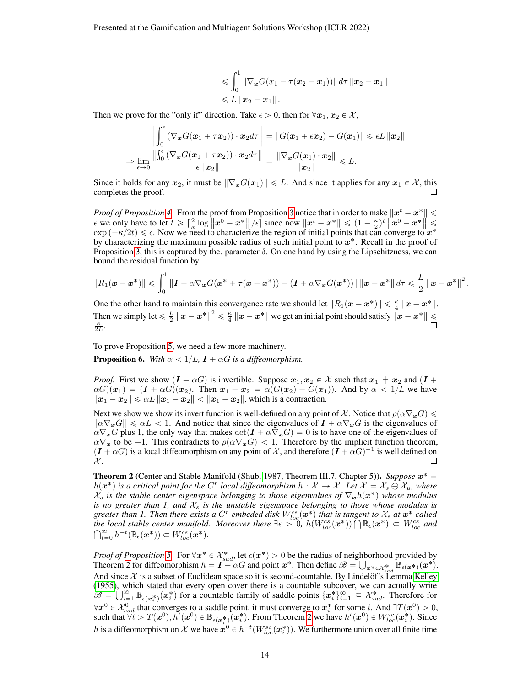$$
\leqslant \int_0^1 \|\nabla_{\bm{x}} G(x_1+\tau(\bm{x}_2-\bm{x}_1))\| d\tau \|\bm{x}_2-\bm{x}_1\|
$$
  

$$
\leqslant L \|\bm{x}_2-\bm{x}_1\|.
$$

Then we prove for the "only if" direction. Take  $\epsilon > 0$ , then for  $\forall x_1, x_2 \in \mathcal{X}$ ,

$$
\left\|\int_0^{\epsilon} \left(\nabla_{\mathbf{x}}G(\mathbf{x}_1+\tau \mathbf{x}_2)\right) \cdot \mathbf{x}_2 d\tau\right\| = \|G(\mathbf{x}_1+\epsilon \mathbf{x}_2)-G(\mathbf{x}_1)\| \leq \epsilon L \|\mathbf{x}_2\|
$$
  
\n
$$
\Rightarrow \lim_{\epsilon \to 0} \frac{\left\|\int_0^{\epsilon} \left(\nabla_{\mathbf{x}}G(\mathbf{x}_1+\tau \mathbf{x}_2)\right) \cdot \mathbf{x}_2 d\tau\right\|}{\epsilon \|\mathbf{x}_2\|} = \frac{\|\nabla_{\mathbf{x}}G(\mathbf{x}_1) \cdot \mathbf{x}_2\|}{\|\mathbf{x}_2\|} \leq L.
$$

Since it holds for any  $x_2$ , it must be  $\|\nabla_x G(x_1)\| \leq L$ . And since it applies for any  $x_1 \in \mathcal{X}$ , this completes the proof.

*Proof of Proposition [4.](#page-12-1)* From the proof from Proposition [3](#page-11-4) notice that in order to make  $\|x^t - x^*\|$  $\epsilon$  we only have to let  $t \geqslant \lceil \frac{2}{\kappa} \log \lceil x^0 - x^* \rceil \lceil \epsilon \rceil$  since now  $\lVert x^t - x^* \rVert \leqslant (1 - \frac{\kappa}{2})^t \lVert x^0 - x^* \rVert \leqslant$  $\exp(-\kappa/2t) \leq \epsilon$ . Now we need to characterize the region of initial points that can converge to  $x^*$ by characterizing the maximum possible radius of such initial point to  $x^*$ . Recall in the proof of Proposition [3,](#page-11-4) this is captured by the. parameter  $\delta$ . On one hand by using the Lipschitzness, we can bound the residual function by

$$
||R_1(\mathbf{x}-\mathbf{x}^*)|| \leq \int_0^1 ||\mathbf{I} + \alpha \nabla_{\mathbf{x}} G(\mathbf{x}^* + \tau(\mathbf{x}-\mathbf{x}^*)) - (\mathbf{I} + \alpha \nabla_{\mathbf{x}} G(\mathbf{x}^*))|| \, ||\mathbf{x}-\mathbf{x}^*|| \, d\tau \leq \frac{L}{2} ||\mathbf{x}-\mathbf{x}^*||^2.
$$

One the other hand to maintain this convergence rate we should let  $||R_1(x - x^*)|| \le \frac{\kappa}{4} ||x - x^*||$ . Then we simply let  $\leq \frac{L}{2} \|x - x^*\|^2 \leq \frac{\kappa}{4} \|x - x^*\|$  we get an initial point should satisfy  $\|x - x^*\| \leq$  $\frac{\kappa}{2L}$ .

To prove Proposition [5,](#page-12-2) we need a few more machinery.

**Proposition 6.** *With*  $\alpha < 1/L$ ,  $I + \alpha G$  *is a diffeomorphism.* 

*Proof.* First we show  $(I + \alpha G)$  is invertible. Suppose  $x_1, x_2 \in \mathcal{X}$  such that  $x_1 \neq x_2$  and  $(I +$  $\alpha G(x_1) = (I + \alpha G)(x_2)$ . Then  $x_1 - x_2 = \alpha (G(x_2) - G(x_1))$ . And by  $\alpha < 1/L$  we have  $||x_1 - x_2|| \le \alpha L ||x_1 - x_2|| < ||x_1 - x_2||$ , which is a contraction.

Next we show we show its invert function is well-defined on any point of X. Notice that  $\rho(\alpha \nabla_x G)$  $\|\alpha \nabla_{\bm{x}}G\| \le \alpha L < 1$ . And notice that since the eigenvalues of  $I + \alpha \nabla_{\bm{x}}G$  is the eigenvalues of  $\alpha \nabla_{x}G$  plus 1, the only way that makes  $\det(I + \alpha \nabla_{x}G) = 0$  is to have one of the eigenvalues of  $\alpha \nabla_x$  to be -1. This contradicts to  $\rho(\alpha \nabla_x G)$  < 1. Therefore by the implicit function theorem,  $(I + \alpha G)$  is a local diffeomorphism on any point of X, and therefore  $(I + \alpha G)^{-1}$  is well defined on  $\mathcal{X}$ . П

<span id="page-13-0"></span>**Theorem 2** (Center and Stable Manifold [\(Shub, 1987,](#page-10-7) Theorem III.7, Chapter 5)). *Suppose*  $x^* =$  $h(x^*)$  is a critical point for the C<sup>r</sup> local diffeomorphism  $h: \mathcal{X} \to \mathcal{X}$ . Let  $\mathcal{X} = \mathcal{X}_s \oplus \mathcal{X}_u$ , where  $\mathcal{X}_s$  is the stable center eigenspace belonging to those eigenvalues of  $\nabla_{\bm{x}} h(\bm{x^*})$  whose modulus *is no greater than 1, and*  $X_s$  *is the unstable eigenspace belonging to those whose modulus is greater than 1. Then there exists a*  $C^r$  *embeded disk*  $W^{cs}_{loc}(\mathbf{x}^*)$  *that is tangent to*  $\mathcal{X}_s$  *at*  $\mathbf{x}^*$  *called*  $\overline{\mathbf{X}}$ *greater than 1. Then there exists a*  $C^r$  *embeded disk*  $W_{loc}^{cs}(\mathbf{x}^*)$  *that is tangent to*  $\mathcal{X}_s$  *at*  $\mathbf{x}^*$  called *the local stable center manifold. Moreover there*  $\exists \epsilon > 0$ ,  $h(W_{loc}^{cs}(\mathbf{x}^*)) \cap \mathbb{B}_{\epsilon}(\mathbf$  $_{t=0}^{\infty} h^{-t}(\mathbb{B}_{\epsilon}(\boldsymbol{x}^*)) \subset W_{loc}^{cs}(\boldsymbol{x}^*)$ .

*Proof of Proposition [5.](#page-12-2)* For  $\forall x^* \in \mathcal{X}^*_{sad}$ , let  $\epsilon(x^*) > 0$  be the radius of neighborhood provided by Theorem [2](#page-13-0) for diffeomorphism  $h = I + \alpha G$  and point  $x^*$ . Then define  $\mathscr{B} = \bigcup_{x^* \in \mathcal{X}_{sad}^*} \mathbb{B}_{\epsilon(x^*)}(x^*)$ . And since  $X$  is a subset of Euclidean space so it is second-countable. By Lindelöf's Lemma [Kelley](#page-9-20) [\(1955\)](#page-9-20), which stated that every open cover there is a countable subcover, we can actually write<br>  $\mathbb{R} \longrightarrow \mathbb{R}$  ( $\mathbb{R}^*$ ) for a countable family of soddle points  $\{x^*\}^\infty \subseteq \mathcal{Y}^*$ . Therefore for  $\mathscr{B} = \bigcup_{i=1}^{\infty} \mathbb{B}_{\epsilon(\boldsymbol{x}_{i}^{*})}(\boldsymbol{x}_{i}^{*})$  for a countable family of saddle points  $\{\boldsymbol{x}_{i}^{*}\}_{i=1}^{\infty} \subseteq \mathcal{X}_{sad}^{*}$ . Therefore for  $\forall x^0 \in \mathcal{X}_{sad}^0$  that converges to a saddle point, it must converge to  $x_i^*$  for some *i*. And  $\exists T(x^0) > 0$ , such that  $\forall t > T(\boldsymbol{x}^0), h^t(\boldsymbol{x}^0) \in \mathbb{B}_{\epsilon(\boldsymbol{x}^*_i)}(\boldsymbol{x}^*_i)$ . From Theorem [2](#page-13-0) we have  $h^t(\boldsymbol{x}^0) \in W^{sc}_{loc}(\boldsymbol{x}^*_i)$ . Since h is a diffeomorphism on X we have  $x^0 \in h^{-t}(W^{sc}_{loc}(x_i^*))$ . We furthermore union over all finite time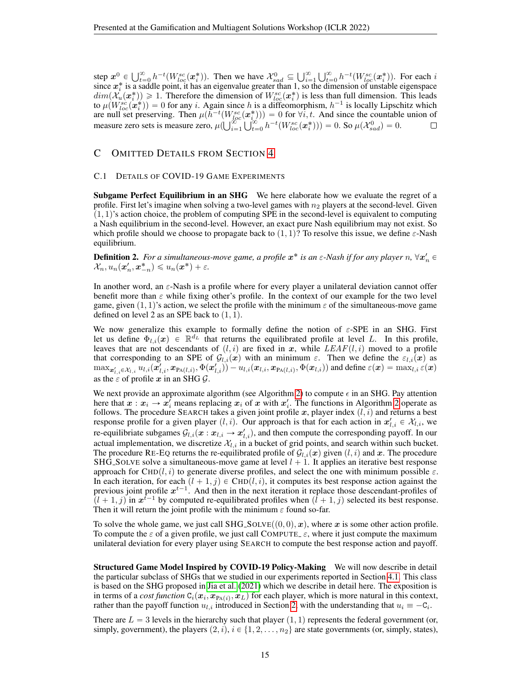step  $x^0 \in \bigcup_{t=0}^{\infty} h^{-t}(W_{loc}^{sc}(x_i^*))$ . Then we have  $\mathcal{X}_{sad}^0 \subseteq \bigcup_{i=1}^{\infty} \bigcup_{t=0}^{\infty} h^{-t}(W_{loc}^{sc}(x_i^*))$ . For each i since  $x_i^*$  is a saddle point, it has an eigenvalue greater than 1, so the dimension of unstable eigenspace  $dim(\mathcal{X}_u(x_i^*)) \geq 1$ . Therefore the dimension of  $W_{loc}^{sc}(x_i^*)$  is less than full dimension. This leads  $\mu(W_{loc}^{sc}(\boldsymbol{x}_i^*))=0$  for any i. Again since h is a diffeomorphism,  $h^{-1}$  is locally Lipschitz which are null set preserving. Then  $\mu(h^{-t}(W_{loc}^{sc}(\boldsymbol{x}_i^*)))=0$  for  $\forall i, t$ . And since the countable union of are null set preserving. Then  $\mu(h^{(t)}(W_{loc}^{s}(x_i^*))) = 0$  for  $\forall i, t$ . And since the countable measure zero sets is measure zero,  $\mu(\bigcup_{i=1}^{\infty} \bigcup_{t=0}^{\infty} h^{-t}(W_{loc}^{sc}(x_i^*))) = 0$ . So  $\mu(\mathcal{X}_{sad}^0) = 0$ .

# <span id="page-14-0"></span>C OMITTED DETAILS FROM SECTION [4](#page-5-0)

#### C.1 DETAILS OF COVID-19 GAME EXPERIMENTS

Subgame Perfect Equilibrium in an SHG We here elaborate how we evaluate the regret of a profile. First let's imagine when solving a two-level games with  $n_2$  players at the second-level. Given  $(1, 1)$ 's action choice, the problem of computing SPE in the second-level is equivalent to computing a Nash equilibrium in the second-level. However, an exact pure Nash equilibrium may not exist. So which profile should we choose to propagate back to  $(1, 1)$ ? To resolve this issue, we define  $\varepsilon$ -Nash equilibrium.

**Definition 2.** For a simultaneous-move game, a profile  $x^*$  is an  $\varepsilon$ -Nash if for any player  $n$ ,  $\forall x'_n \in$  $\mathcal{X}_n, u_n(\boldsymbol{x}_n', \boldsymbol{x}_{-n}^*) \leq u_n(\boldsymbol{x}^*) + \varepsilon.$ 

In another word, an  $\varepsilon$ -Nash is a profile where for every player a unilateral deviation cannot offer benefit more than  $\varepsilon$  while fixing other's profile. In the context of our example for the two level game, given  $(1, 1)$ 's action, we select the profile with the minimum  $\varepsilon$  of the simultaneous-move game defined on level 2 as an SPE back to  $(1, 1)$ .

We now generalize this example to formally define the notion of  $\varepsilon$ -SPE in an SHG. First let us define  $\Phi_{l,i}(x) \in \mathbb{R}^{d_L}$  that returns the equilibrated profile at level L. In this profile, leaves that are not descendants of  $(l, i)$  are fixed in x, while LEAF $(l, i)$  moved to a profile that corresponding to an SPE of  $\mathcal{G}_{l,i}(\bm{x})$  with an minimum  $\varepsilon$ . Then we define the  $\varepsilon_{l,i}(\bm{x})$  as  $\max_{\bm{x}_{l,i}'\in\mathcal{X}_{l,i}}u_{l,i}(\bm{x}_{l,i}',\bm{x}_{\text{PA}(l,i)},\Phi(\bm{x}_{l,i}'))-u_{l,i}(\bm{x}_{l,i},\bm{x}_{\text{PA}(l,i)},\Phi(\bm{x}_{l,i}))$  and define  $\varepsilon(\bm{x})=\max_{l,i}\varepsilon(\bm{x})$ as the  $\varepsilon$  of profile x in an SHG  $\mathcal{G}$ .

We next provide an approximate algorithm (see Algorithm [2\)](#page-15-0) to compute  $\epsilon$  in an SHG. Pay attention here that  $x : x_i \to x'_i$  means replacing  $x_i$  of x with  $x'_i$ . The functions in Algorithm [2](#page-15-0) operate as follows. The procedure SEARCH takes a given joint profile x, player index  $(l, i)$  and returns a best response profile for a given player  $(l, i)$ . Our approach is that for each action in  $x'_{l,i} \in X_{l,i}$ , we re-equilibriate subgames  $\mathcal{G}_{l,i}(\bm{x} : \bm{x}_{l,i} \to \bm{x}'_{l,i})$ , and then compute the corresponding payoff. In our actual implementation, we discretize  $\mathcal{X}_{l,i}$  in a bucket of grid points, and search within such bucket. The procedure RE-EQ returns the re-equilibrated profile of  $\mathcal{G}_{l,i}(x)$  given  $(l, i)$  and x. The procedure SHG\_SOLVE solve a simultaneous-move game at level  $l + 1$ . It applies an iterative best response approach for CHD $(l, i)$  to generate diverse profiles, and select the one with minimum possible  $\varepsilon$ . In each iteration, for each  $(l + 1, j) \in \text{CHD}(l, i)$ , it computes its best response action against the previous joint profile  $x^{t-1}$ . And then in the next iteration it replace those descendant-profiles of  $\hat{p}(l + 1, j)$  in  $x^{\hat{t}-1}$  by computed re-equilibrated profiles when  $(\hat{l} + 1, j)$  selected its best response. Then it will return the joint profile with the minimum  $\varepsilon$  found so-far.

To solve the whole game, we just call SHG\_SOLVE $((0, 0), x)$ , where x is some other action profile. To compute the  $\varepsilon$  of a given profile, we just call COMPUTE  $\varepsilon$ , where it just compute the maximum unilateral deviation for every player using SEARCH to compute the best response action and payoff.

Structured Game Model Inspired by COVID-19 Policy-Making We will now describe in detail the particular subclass of SHGs that we studied in our experiments reported in Section [4.1.](#page-6-1) This class is based on the SHG proposed in [Jia et al.](#page-9-15) [\(2021\)](#page-9-15) which we describe in detail here. The exposition is in terms of a *cost function*  $C_i(x_i, x_{PA(i)}, x_L)$  for each player, which is more natural in this context, rather than the payoff function  $u_{l,i}$  introduced in Section [2,](#page-1-0) with the understanding that  $u_i \equiv -C_i$ .

There are  $L = 3$  levels in the hierarchy such that player  $(1, 1)$  represents the federal government (or, simply, government), the players  $(2, i)$ ,  $i \in \{1, 2, ..., n_2\}$  are state governments (or, simply, states),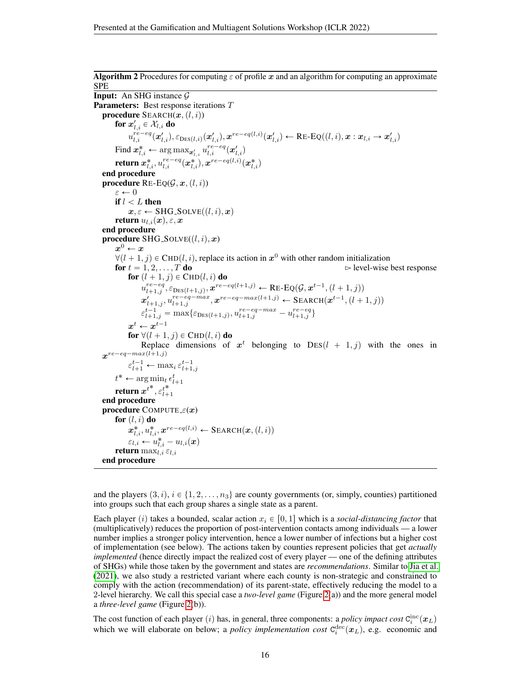```
Algorithm 2 Procedures for computing \varepsilon of profile x and an algorithm for computing an approximate
SPE
Input: An SHG instance \mathcal{G}Parameters: Best response iterations T
    procedure \text{SEARCH}(x, (l, i))for \boldsymbol{x}^{\prime}_{l,i} \in \mathcal{X}_{l,i} do
                 u_{l,i}^{re-eq}(\boldsymbol{x}_{l,i}'), \varepsilon_{\mathrm{DES}(l,i)}(\boldsymbol{x}_{l,i}'), \boldsymbol{x}^{re-eq(l,i)}(\boldsymbol{x}_{l,i}') \leftarrow \mathrm{RE-EQ}((l,i), \boldsymbol{x}:\boldsymbol{x}_{l,i} \rightarrow \boldsymbol{x}_{l,i}')\text{Find } \bm{x}_{l,i}^* \leftarrow \argmax_{\bm{x}_{l,i}'} u_{l,i}^{re-eq}(\bm{x}_{l,i}')return \boldsymbol{x}_{l,i}^*, u^{re-eq}_{l,i}(\boldsymbol{x}_{l,i}^*), \boldsymbol{x}^{re-eq(l,i)}(\boldsymbol{x}_{l,i}^*)end procedure
    procedure RE-EQ(\mathcal{G}, \mathbf{x}, (l, i))
          \varepsilon \leftarrow 0if l < L then
                x, \varepsilon \leftarrow \text{SHG\_SOLVE}((l, i), x)return u_{l,i}(x), \varepsilon, xend procedure
    procedure SHG_SOLVE((l, i), x)
           x^0 \leftarrow x\forall (l + 1, j) \in \text{CHD}(l, i), replace its action in x^0 with other random initialization
          for t = 1, 2, ..., T do \triangleright level-wise best response
                for (l + 1, j) \in \text{CHD}(l, i) do
                       u_{l+1,j}^{re-eq}, \varepsilon_{\text{DES}(l+1,j)}, \boldsymbol{x}^{re-eq(l+1,j)} \leftarrow \text{RE-EQ}(\mathcal{G}, \boldsymbol{x}^{t-1}, (l+1,j))\boldsymbol{x}^{\prime}_{l+1,j}, u^{re-eq-max}_{l+1,j}, \boldsymbol{x}^{re-eq-max(l+1,j)} \leftarrow \text{SEARCH}(\boldsymbol{x}^{t-1}, (l+1,j))\varepsilon_{l+1,j}^{t-1} = \max\{\varepsilon_{\text{DES}(l+1,j)}, u_{l+1,j}^{re-eq-max} - u_{l+1,j}^{re-eq}\}x^t \leftarrow x^{t-1}for \forall (l + 1, j) \in \text{CHD}(l, i) do
                       Replace dimensions of x^t belonging to \text{DES}(l + 1, j) with the ones in
    x^{re-eq-max(l+1,j)}\varepsilon_{l+1}^{t-1} \leftarrow \max_i \varepsilon_{l+1,j}^{t-1}t^* \leftarrow \arg \min_t \epsilon_{l+1}^treturn x^{t^*}, \varepsilon^{t^*}_{l+1}end procedure
    procedure COMPUTE \_v(x)for (l, i) do
                 \boldsymbol{x}_{l,i}^*, u_{l,i}^*, \boldsymbol{x}^{re-eq(l,i)} \leftarrow \text{SEARCH}(\boldsymbol{x},(l,i))\varepsilon_{l,i} \leftarrow u_{l,i}^* - u_{l,i}(x)return \max_{l,i} \varepsilon_{l,i}end procedure
```
and the players  $(3, i), i \in \{1, 2, \ldots, n_3\}$  are county governments (or, simply, counties) partitioned into groups such that each group shares a single state as a parent.

Each player (*i*) takes a bounded, scalar action  $x_i \in [0, 1]$  which is a *social-distancing factor* that (multiplicatively) reduces the proportion of post-intervention contacts among individuals — a lower number implies a stronger policy intervention, hence a lower number of infections but a higher cost of implementation (see below). The actions taken by counties represent policies that get *actually implemented* (hence directly impact the realized cost of every player — one of the defining attributes of SHGs) while those taken by the government and states are *recommendations*. Similar to [Jia et al.](#page-9-15) [\(2021\)](#page-9-15), we also study a restricted variant where each county is non-strategic and constrained to comply with the action (recommendation) of its parent-state, effectively reducing the model to a 2-level hierarchy. We call this special case a *two-level game* (Figure [2\(](#page-6-0)a)) and the more general model a *three-level game* (Figure [2\(](#page-6-0)b)).

The cost function of each player (*i*) has, in general, three components: a *policy impact cost*  $C_i^{\text{inc}}(x_L)$ which we will elaborate on below; a *policy implementation cost*  $C_i^{\text{dec}}(x_L)$ , e.g. economic and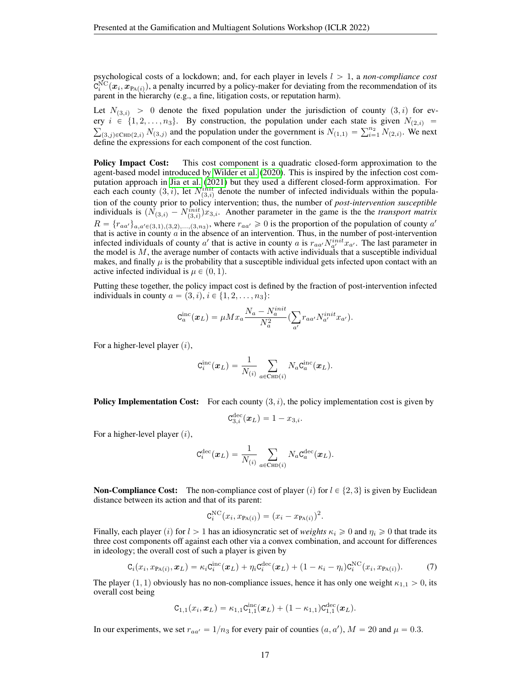psychological costs of a lockdown; and, for each player in levels  $l > 1$ , a *non-compliance cost*  $\hat{C}_i^{\rm NC}(\bm x_i,\bm x_{\rm PA(i)})$ , a penalty incurred by a policy-maker for deviating from the recommendation of its parent in the hierarchy (e.g., a fine, litigation costs, or reputation harm).

Let  $N_{(3,i)} > 0$  denote the fixed population under the jurisdiction of county  $(3,i)$  for every  $i \in \{1, 2, \ldots, n_3\}$ . By construction, the population under each state is given  $N_{(2,i)} =$  $p_3$  i  $\in \{1, 2, ..., n_3\}$ . By construction, the population under each state is given  $N_{(2,i)} = (3,j) \in \text{Chp}(2,i)$   $N_{(3,j)}$  and the population under the government is  $N_{(1,1)} = \sum_{i=1}^{n_2} N_{(2,i)}$ . We next define the expressions for each component of the cost function.

**Policy Impact Cost:** This cost component is a quadratic closed-form approximation to the agent-based model introduced by [Wilder et al.](#page-10-8) [\(2020\)](#page-10-8). This is inspired by the infection cost computation approach in [Jia et al.](#page-9-15) [\(2021\)](#page-9-15) but they used a different closed-form approximation. For each each county  $(3, i)$ , let  $N_{(3,i)}^{init}$  denote the number of infected individuals within the population of the county prior to policy intervention; thus, the number of *post-intervention susceptible* individuals is  $(N_{(3,i)} - N_{(3,i)}^{init})x_{3,i}$ . Another parameter in the game is the the *transport matrix*  $R = \{r_{aa'}\}_{a,a' \in (3,1),(3,2),\ldots,(3,n_3)}$ , where  $r_{aa'} \geq 0$  is the proportion of the population of county a' that is active in county  $a$  in the absence of an intervention. Thus, in the number of post-intervention infected individuals of county a' that is active in county a is  $r_{aa'}N_{a'}^{init}x_{a'}$ . The last parameter in the model is  $M$ , the average number of contacts with active individuals that a susceptible individual makes, and finally  $\mu$  is the probability that a susceptible individual gets infected upon contact with an active infected individual is  $\mu \in (0, 1)$ .

Putting these together, the policy impact cost is defined by the fraction of post-intervention infected individuals in county  $a = (3, i), i \in \{1, 2, ..., n_3\}$ :

$$
\mathbf{C}_{a}^{\rm inc}(\boldsymbol{x}_L) = \mu M x_a \frac{N_a - N_a^{\rm init}}{N_a^2} \left( \sum_{a'} r_{aa'} N_{a'}^{\rm init} x_{a'} \right).
$$

For a higher-level player  $(i)$ ,

$$
\mathbf{C}_{i}^{\text{inc}}(\boldsymbol{x}_L) = \frac{1}{N_{(i)}} \sum_{a \in \text{CHD}(i)} N_a \mathbf{C}_{a}^{\text{inc}}(\boldsymbol{x}_L).
$$

**Policy Implementation Cost:** For each county  $(3, i)$ , the policy implementation cost is given by

$$
\mathtt{C}_{3,i}^{\text{dec}}(\boldsymbol{x}_L) = 1 - x_{3,i}.
$$

For a higher-level player  $(i)$ ,

$$
\mathtt{C}^{\text{dec}}_i(\boldsymbol{x}_L) = \frac{1}{N_{(i)}} \sum_{a \in \text{CHD}(i)} N_a \mathtt{C}^{\text{dec}}_a(\boldsymbol{x}_L).
$$

**Non-Compliance Cost:** The non-compliance cost of player (i) for  $l \in \{2, 3\}$  is given by Euclidean distance between its action and that of its parent:

$$
C_i^{NC}(x_i, x_{PA(i)}) = (x_i - x_{PA(i)})^2.
$$

Finally, each player (i) for  $l > 1$  has an idiosyncratic set of *weights*  $\kappa_i \geq 0$  and  $\eta_i \geq 0$  that trade its three cost components off against each other via a convex combination, and account for differences in ideology; the overall cost of such a player is given by

$$
C_i(x_i, x_{\text{PA}(i)}, \boldsymbol{x}_L) = \kappa_i C_i^{\text{inc}}(\boldsymbol{x}_L) + \eta_i C_i^{\text{dec}}(\boldsymbol{x}_L) + (1 - \kappa_i - \eta_i) C_i^{\text{NC}}(x_i, x_{\text{PA}(i)}).
$$
(7)

The player  $(1, 1)$  obviously has no non-compliance issues, hence it has only one weight  $\kappa_{1,1} > 0$ , its overall cost being

$$
C_{1,1}(x_i, x_L) = \kappa_{1,1} C_{1,1}^{\rm inc}(x_L) + (1 - \kappa_{1,1}) C_{1,1}^{\rm dec}(x_L).
$$

In our experiments, we set  $r_{aa'} = 1/n_3$  for every pair of counties  $(a, a'), M = 20$  and  $\mu = 0.3$ .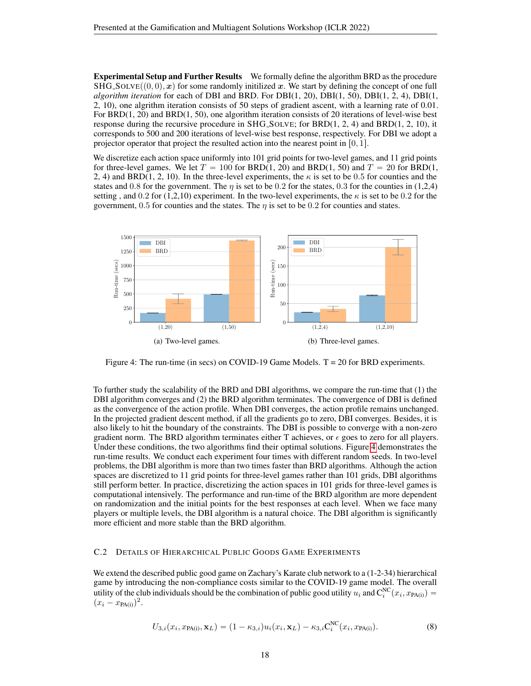Experimental Setup and Further Results We formally define the algorithm BRD as the procedure  $SHG-SOLVE((0,0), x)$  for some randomly initilized x. We start by defining the concept of one full *algorithm iteration* for each of DBI and BRD. For DBI(1, 20), DBI(1, 50), DBI(1, 2, 4), DBI(1, 2, 10), one algrithm iteration consists of 50 steps of gradient ascent, with a learning rate of 0.01. For BRD(1, 20) and BRD(1, 50), one algorithm iteration consists of 20 iterations of level-wise best response during the recursive procedure in SHG\_SOLVE; for  $BRD(1, 2, 4)$  and  $BRD(1, 2, 10)$ , it corresponds to 500 and 200 iterations of level-wise best response, respectively. For DBI we adopt a projector operator that project the resulted action into the nearest point in  $[0, 1]$ .

We discretize each action space uniformly into 101 grid points for two-level games, and 11 grid points for three-level games. We let  $T = 100$  for BRD(1, 20) and BRD(1, 50) and  $T = 20$  for BRD(1, 2, 4) and BRD(1, 2, 10). In the three-level experiments, the  $\kappa$  is set to be 0.5 for counties and the states and 0.8 for the government. The  $\eta$  is set to be 0.2 for the states, 0.3 for the counties in (1,2,4) setting, and 0.2 for (1,2,10) experiment. In the two-level experiments, the  $\kappa$  is set to be 0.2 for the government, 0.5 for counties and the states. The  $\eta$  is set to be 0.2 for counties and states.

<span id="page-17-1"></span>

Figure 4: The run-time (in secs) on COVID-19 Game Models.  $T = 20$  for BRD experiments.

To further study the scalability of the BRD and DBI algorithms, we compare the run-time that (1) the DBI algorithm converges and (2) the BRD algorithm terminates. The convergence of DBI is defined as the convergence of the action profile. When DBI converges, the action profile remains unchanged. In the projected gradient descent method, if all the gradients go to zero, DBI converges. Besides, it is also likely to hit the boundary of the constraints. The DBI is possible to converge with a non-zero gradient norm. The BRD algorithm terminates either T achieves, or  $\epsilon$  goes to zero for all players. Under these conditions, the two algorithms find their optimal solutions. Figure [4](#page-17-1) demonstrates the run-time results. We conduct each experiment four times with different random seeds. In two-level problems, the DBI algorithm is more than two times faster than BRD algorithms. Although the action spaces are discretized to 11 grid points for three-level games rather than 101 grids, DBI algorithms still perform better. In practice, discretizing the action spaces in 101 grids for three-level games is computational intensively. The performance and run-time of the BRD algorithm are more dependent on randomization and the initial points for the best responses at each level. When we face many players or multiple levels, the DBI algorithm is a natural choice. The DBI algorithm is significantly more efficient and more stable than the BRD algorithm.

## <span id="page-17-0"></span>C.2 DETAILS OF HIERARCHICAL PUBLIC GOODS GAME EXPERIMENTS

We extend the described public good game on Zachary's Karate club network to a  $(1-2-34)$  hierarchical game by introducing the non-compliance costs similar to the COVID-19 game model. The overall utility of the club individuals should be the combination of public good utility  $u_i$  and  $C_i^{NC}(x_i, x_{PA(i)}) =$  $(x_i - x_{PA(i)})^2$ .

<span id="page-17-2"></span>
$$
U_{3,i}(x_i, x_{\text{PA}(i)}, \mathbf{x}_L) = (1 - \kappa_{3,i})u_i(x_i, \mathbf{x}_L) - \kappa_{3,i}C_i^{\text{NC}}(x_i, x_{\text{PA}(i)}).
$$
(8)